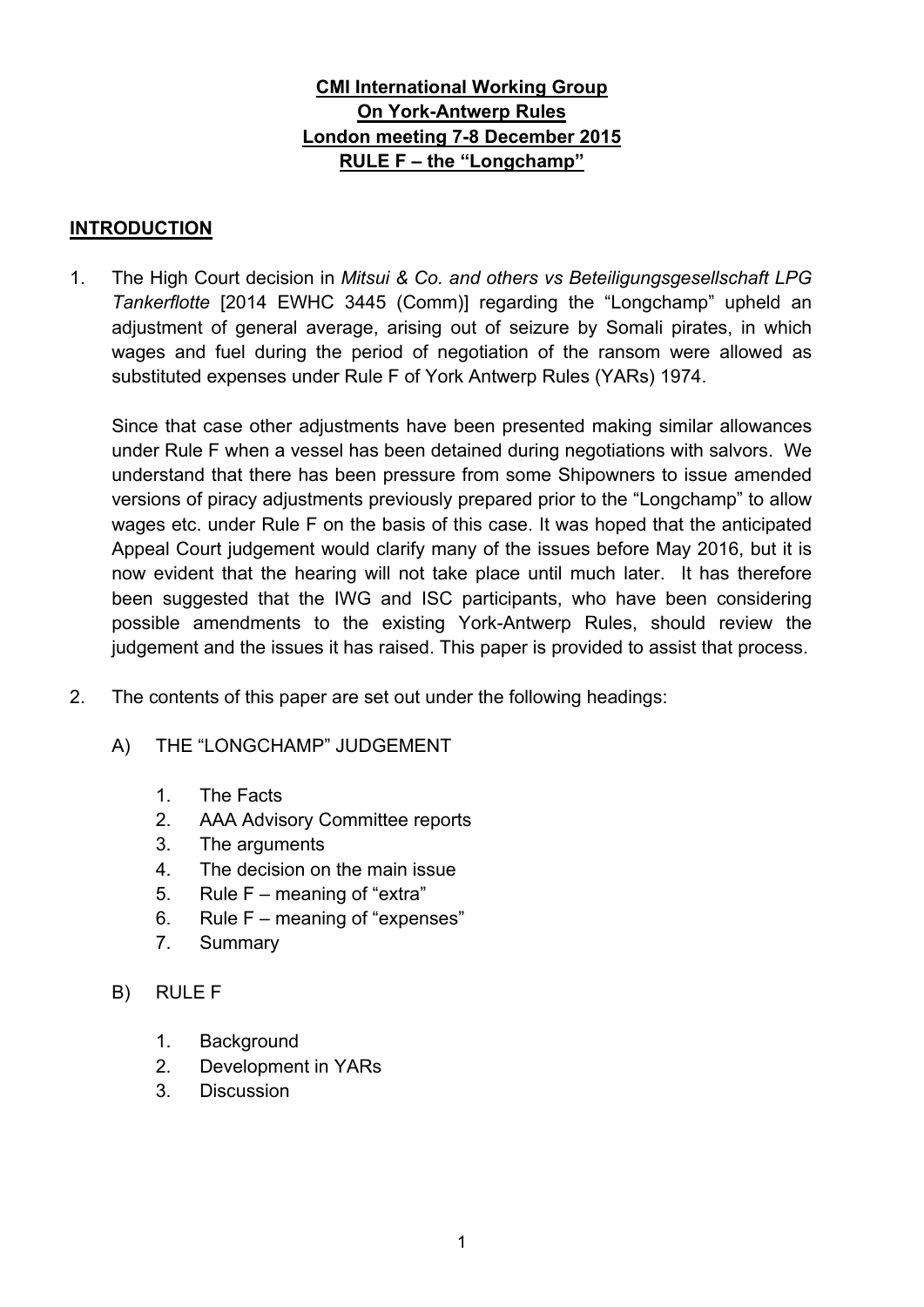# **CMI International Working Group On York-Antwerp Rules London meeting 7-8 December 2015 RULE F – the "Longchamp"**

### **INTRODUCTION**

1. The High Court decision in *Mitsui & Co. and others vs Beteiligungsgesellschaft LPG Tankerflotte* [2014 EWHC 3445 (Comm)] regarding the "Longchamp" upheld an adjustment of general average, arising out of seizure by Somali pirates, in which wages and fuel during the period of negotiation of the ransom were allowed as substituted expenses under Rule F of York Antwerp Rules (YARs) 1974.

Since that case other adjustments have been presented making similar allowances under Rule F when a vessel has been detained during negotiations with salvors. We understand that there has been pressure from some Shipowners to issue amended versions of piracy adjustments previously prepared prior to the "Longchamp" to allow wages etc. under Rule F on the basis of this case. It was hoped that the anticipated Appeal Court judgement would clarify many of the issues before May 2016, but it is now evident that the hearing will not take place until much later. It has therefore been suggested that the IWG and ISC participants, who have been considering possible amendments to the existing York-Antwerp Rules, should review the judgement and the issues it has raised. This paper is provided to assist that process.

- 2. The contents of this paper are set out under the following headings:
	- A) THE "LONGCHAMP" JUDGEMENT
		- 1. The Facts
		- 2. AAA Advisory Committee reports
		- 3. The arguments
		- 4. The decision on the main issue
		- 5. Rule F meaning of "extra"
		- 6. Rule F meaning of "expenses"
		- 7. Summary
	- B) RULE F
		- 1. Background
		- 2. Development in YARs
		- 3. Discussion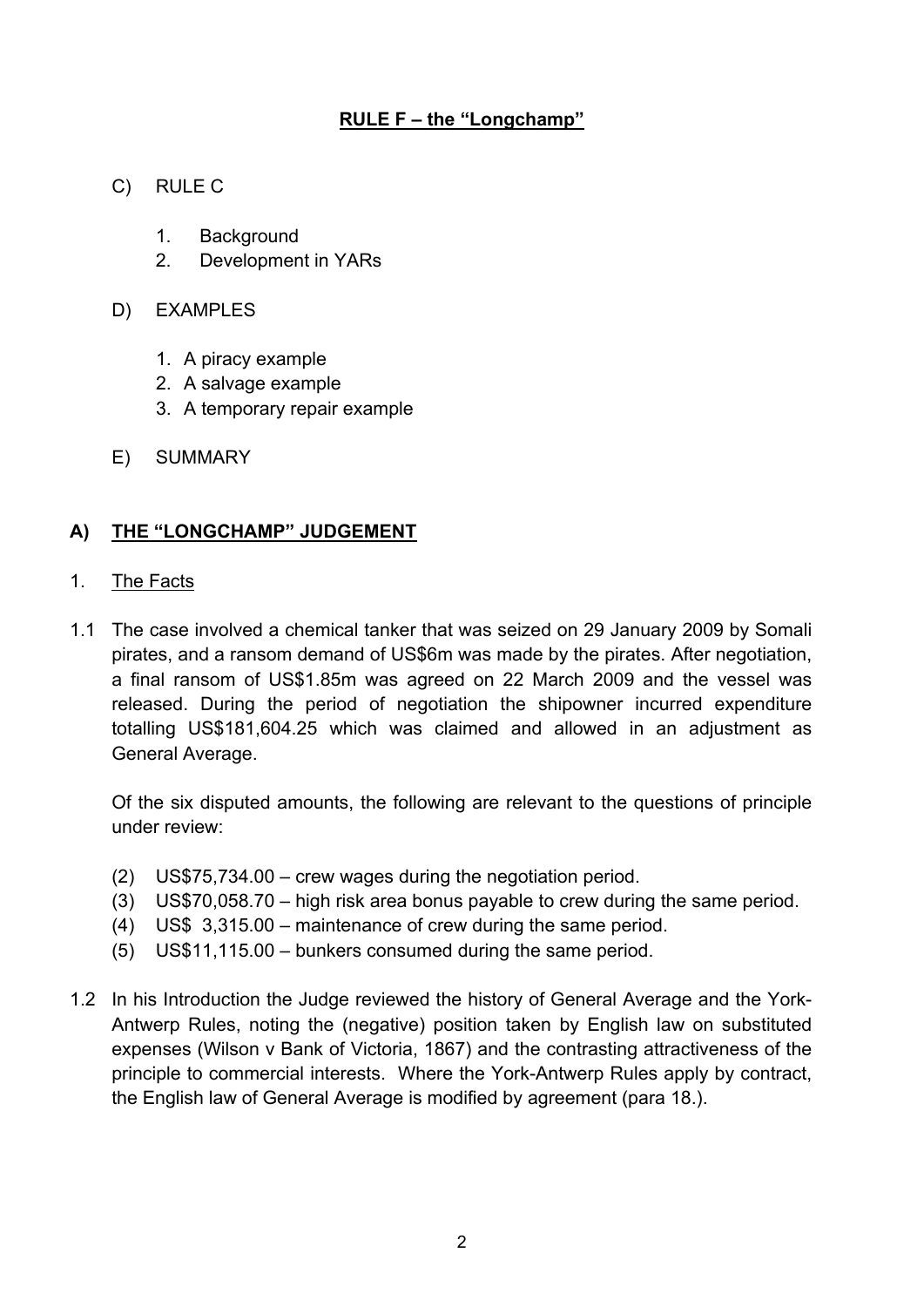- C) RULE C
	- 1. Background
	- 2. Development in YARs
- D) EXAMPLES
	- 1. A piracy example
	- 2. A salvage example
	- 3. A temporary repair example
- E) SUMMARY

## **A) THE "LONGCHAMP" JUDGEMENT**

- 1. The Facts
- 1.1 The case involved a chemical tanker that was seized on 29 January 2009 by Somali pirates, and a ransom demand of US\$6m was made by the pirates. After negotiation, a final ransom of US\$1.85m was agreed on 22 March 2009 and the vessel was released. During the period of negotiation the shipowner incurred expenditure totalling US\$181,604.25 which was claimed and allowed in an adjustment as General Average.

Of the six disputed amounts, the following are relevant to the questions of principle under review:

- (2) US\$75,734.00 crew wages during the negotiation period.
- (3) US\$70,058.70 high risk area bonus payable to crew during the same period.
- (4) US\$ 3,315.00 maintenance of crew during the same period.
- (5) US\$11,115.00 bunkers consumed during the same period.
- 1.2 In his Introduction the Judge reviewed the history of General Average and the York-Antwerp Rules, noting the (negative) position taken by English law on substituted expenses (Wilson v Bank of Victoria, 1867) and the contrasting attractiveness of the principle to commercial interests. Where the York-Antwerp Rules apply by contract, the English law of General Average is modified by agreement (para 18.).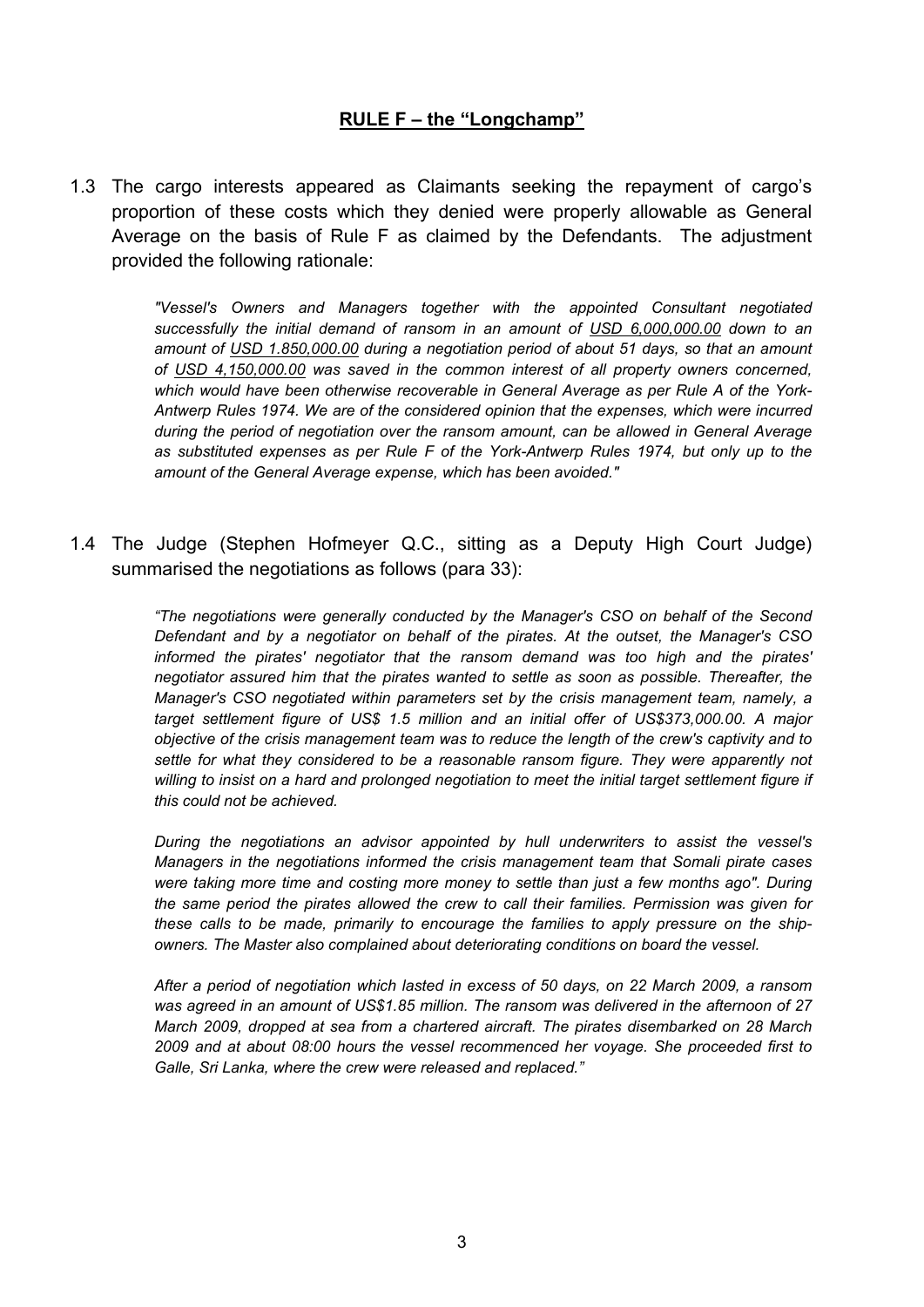1.3 The cargo interests appeared as Claimants seeking the repayment of cargo's proportion of these costs which they denied were properly allowable as General Average on the basis of Rule F as claimed by the Defendants. The adjustment provided the following rationale:

> *"Vessel's Owners and Managers together with the appointed Consultant negotiated successfully the initial demand of ransom in an amount of USD 6,000,000.00 down to an amount of USD 1.850,000.00 during a negotiation period of about 51 days, so that an amount of USD 4,150,000.00 was saved in the common interest of all property owners concerned, which would have been otherwise recoverable in General Average as per Rule A of the York-Antwerp Rules 1974. We are of the considered opinion that the expenses, which were incurred during the period of negotiation over the ransom amount, can be aIlowed in General Average as substituted expenses as per Rule F of the York-Antwerp Rules 1974, but only up to the amount of the General Average expense, which has been avoided."*

1.4 The Judge (Stephen Hofmeyer Q.C., sitting as a Deputy High Court Judge) summarised the negotiations as follows (para 33):

> *"The negotiations were generally conducted by the Manager's CSO on behalf of the Second Defendant and by a negotiator on behalf of the pirates. At the outset, the Manager's CSO informed the pirates' negotiator that the ransom demand was too high and the pirates' negotiator assured him that the pirates wanted to settle as soon as possible. Thereafter, the Manager's CSO negotiated within parameters set by the crisis management team, namely, a target settlement figure of US\$ 1.5 million and an initial offer of US\$373,000.00. A major objective of the crisis management team was to reduce the length of the crew's captivity and to settle for what they considered to be a reasonable ransom figure. They were apparently not willing to insist on a hard and prolonged negotiation to meet the initial target settlement figure if this could not be achieved.*

> *During the negotiations an advisor appointed by hull underwriters to assist the vessel's Managers in the negotiations informed the crisis management team that Somali pirate cases were taking more time and costing more money to settle than just a few months ago". During the same period the pirates allowed the crew to call their families. Permission was given for these calls to be made, primarily to encourage the families to apply pressure on the shipowners. The Master also complained about deteriorating conditions on board the vessel.*

> *After a period of negotiation which lasted in excess of 50 days, on 22 March 2009, a ransom was agreed in an amount of US\$1.85 million. The ransom was delivered in the afternoon of 27 March 2009, dropped at sea from a chartered aircraft. The pirates disembarked on 28 March 2009 and at about 08:00 hours the vessel recommenced her voyage. She proceeded first to Galle, Sri Lanka, where the crew were released and replaced."*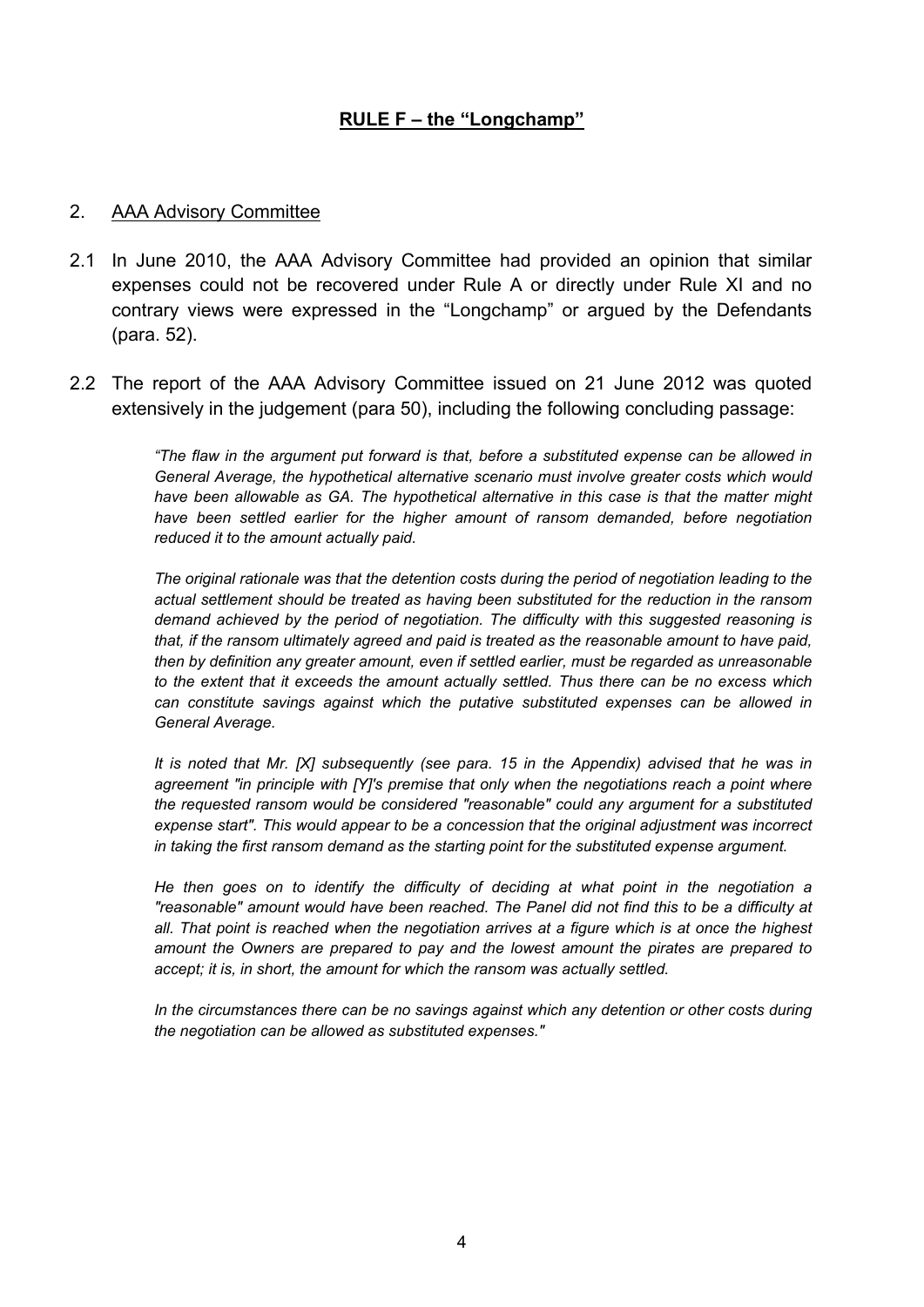### 2. AAA Advisory Committee

- 2.1 In June 2010, the AAA Advisory Committee had provided an opinion that similar expenses could not be recovered under Rule A or directly under Rule XI and no contrary views were expressed in the "Longchamp" or argued by the Defendants (para. 52).
- 2.2 The report of the AAA Advisory Committee issued on 21 June 2012 was quoted extensively in the judgement (para 50), including the following concluding passage:

*"The flaw in the argument put forward is that, before a substituted expense can be allowed in General Average, the hypothetical alternative scenario must involve greater costs which would have been allowable as GA. The hypothetical alternative in this case is that the matter might have been settled earlier for the higher amount of ransom demanded, before negotiation reduced it to the amount actually paid.*

*The original rationale was that the detention costs during the period of negotiation leading to the actual settlement should be treated as having been substituted for the reduction in the ransom demand achieved by the period of negotiation. The difficulty with this suggested reasoning is that, if the ransom ultimately agreed and paid is treated as the reasonable amount to have paid, then by definition any greater amount, even if settled earlier, must be regarded as unreasonable to the extent that it exceeds the amount actually settled. Thus there can be no excess which can constitute savings against which the putative substituted expenses can be allowed in General Average.*

*It is noted that Mr. [X] subsequently (see para. 15 in the Appendix) advised that he was in agreement "in principle with [Y]'s premise that only when the negotiations reach a point where the requested ransom would be considered "reasonable" could any argument for a substituted expense start". This would appear to be a concession that the original adjustment was incorrect in taking the first ransom demand as the starting point for the substituted expense argument.*

*He then goes on to identify the difficulty of deciding at what point in the negotiation a "reasonable" amount would have been reached. The Panel did not find this to be a difficulty at all. That point is reached when the negotiation arrives at a figure which is at once the highest amount the Owners are prepared to pay and the lowest amount the pirates are prepared to accept; it is, in short, the amount for which the ransom was actually settled.*

*In the circumstances there can be no savings against which any detention or other costs during the negotiation can be allowed as substituted expenses."*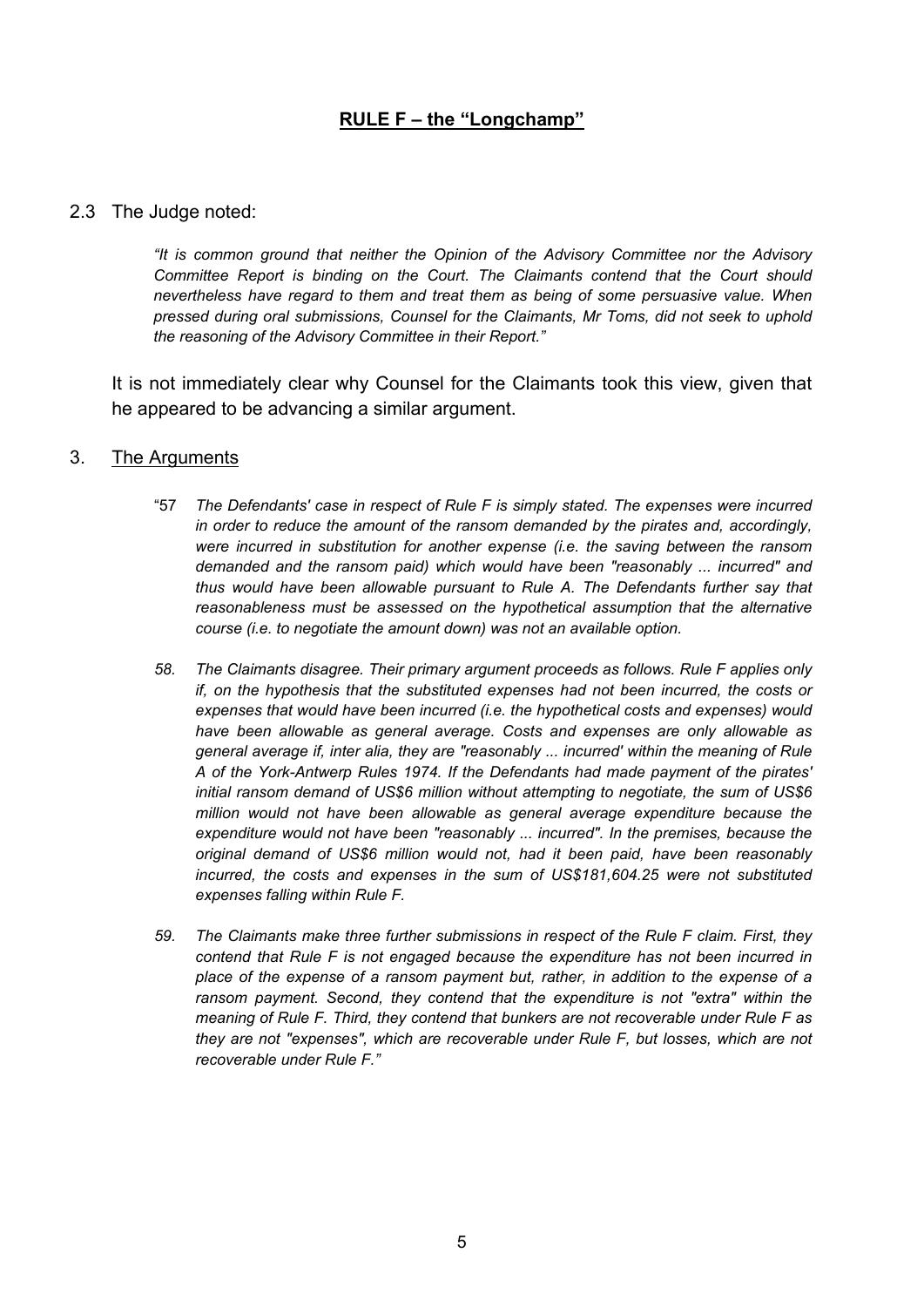#### 2.3 The Judge noted:

*"It is common ground that neither the Opinion of the Advisory Committee nor the Advisory Committee Report is binding on the Court. The Claimants contend that the Court should nevertheless have regard to them and treat them as being of some persuasive value. When pressed during oral submissions, Counsel for the Claimants, Mr Toms, did not seek to uphold the reasoning of the Advisory Committee in their Report."*

It is not immediately clear why Counsel for the Claimants took this view, given that he appeared to be advancing a similar argument.

#### 3. The Arguments

- "57 *The Defendants' case in respect of Rule F is simply stated. The expenses were incurred in order to reduce the amount of the ransom demanded by the pirates and, accordingly, were incurred in substitution for another expense (i.e. the saving between the ransom demanded and the ransom paid) which would have been "reasonably ... incurred" and thus would have been allowable pursuant to Rule A. The Defendants further say that reasonableness must be assessed on the hypothetical assumption that the alternative course (i.e. to negotiate the amount down) was not an available option.*
- *58. The Claimants disagree. Their primary argument proceeds as follows. Rule F applies only if, on the hypothesis that the substituted expenses had not been incurred, the costs or expenses that would have been incurred (i.e. the hypothetical costs and expenses) would have been allowable as general average. Costs and expenses are only allowable as general average if, inter alia, they are "reasonably ... incurred' within the meaning of Rule A of the York-Antwerp Rules 1974. If the Defendants had made payment of the pirates' initial ransom demand of US\$6 million without attempting to negotiate, the sum of US\$6 million would not have been allowable as general average expenditure because the expenditure would not have been "reasonably ... incurred". In the premises, because the original demand of US\$6 million would not, had it been paid, have been reasonably incurred, the costs and expenses in the sum of US\$181,604.25 were not substituted expenses falling within Rule F.*
- *59. The Claimants make three further submissions in respect of the Rule F claim. First, they contend that Rule F is not engaged because the expenditure has not been incurred in place of the expense of a ransom payment but, rather, in addition to the expense of a ransom payment. Second, they contend that the expenditure is not "extra" within the meaning of Rule F. Third, they contend that bunkers are not recoverable under Rule F as they are not "expenses", which are recoverable under Rule F, but losses, which are not recoverable under Rule F."*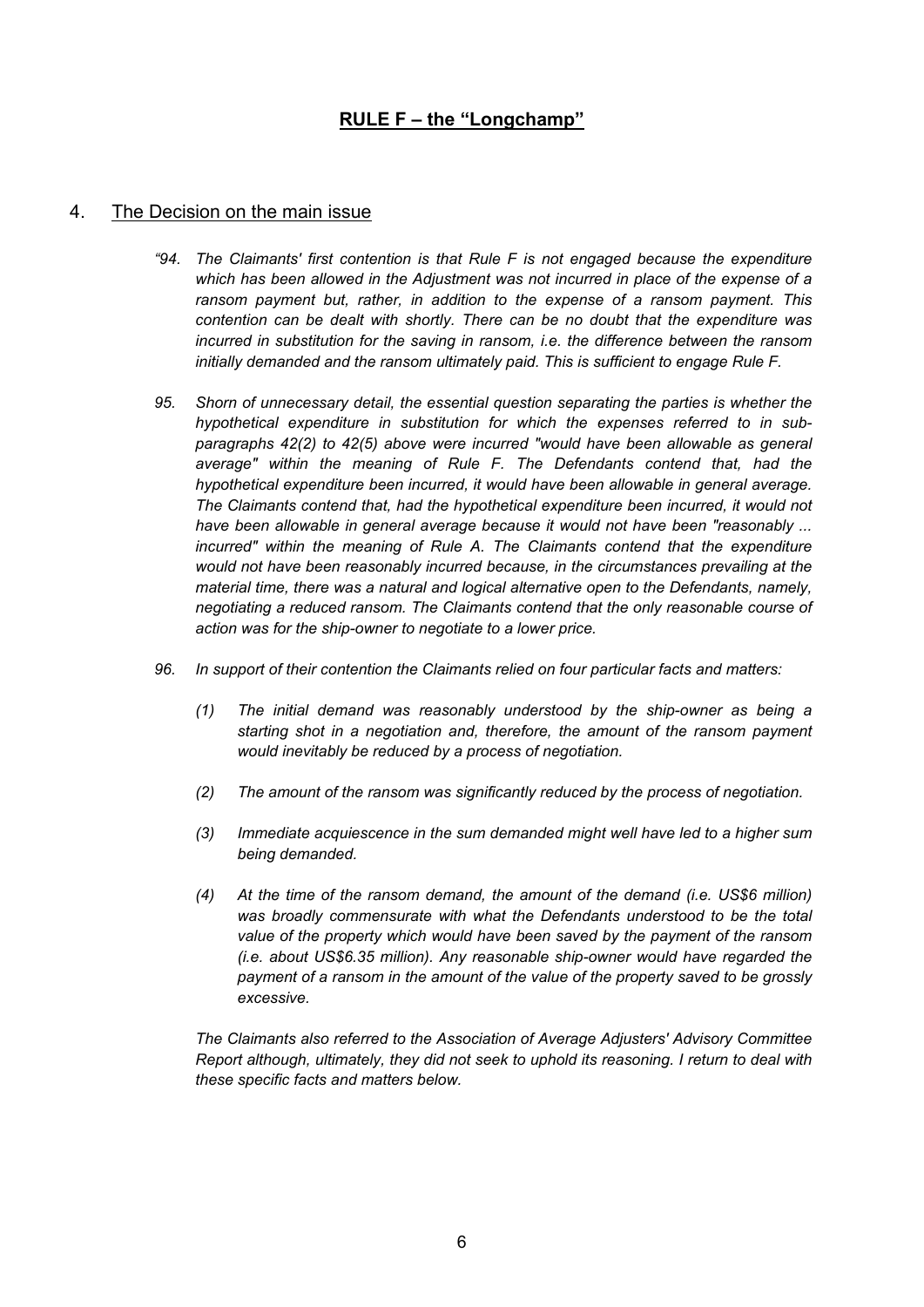#### 4. The Decision on the main issue

- *"94. The Claimants' first contention is that Rule F is not engaged because the expenditure which has been allowed in the Adjustment was not incurred in place of the expense of a ransom payment but, rather, in addition to the expense of a ransom payment. This contention can be dealt with shortly. There can be no doubt that the expenditure was incurred in substitution for the saving in ransom, i.e. the difference between the ransom initially demanded and the ransom ultimately paid. This is sufficient to engage Rule F.*
- *95. Shorn of unnecessary detail, the essential question separating the parties is whether the hypothetical expenditure in substitution for which the expenses referred to in subparagraphs 42(2) to 42(5) above were incurred "would have been allowable as general average" within the meaning of Rule F. The Defendants contend that, had the hypothetical expenditure been incurred, it would have been allowable in general average. The Claimants contend that, had the hypothetical expenditure been incurred, it would not have been allowable in general average because it would not have been "reasonably ... incurred" within the meaning of Rule A. The Claimants contend that the expenditure would not have been reasonably incurred because, in the circumstances prevailing at the material time, there was a natural and logical alternative open to the Defendants, namely, negotiating a reduced ransom. The Claimants contend that the only reasonable course of action was for the ship-owner to negotiate to a lower price.*
- *96. In support of their contention the Claimants relied on four particular facts and matters:*
	- *(1) The initial demand was reasonably understood by the ship-owner as being a starting shot in a negotiation and, therefore, the amount of the ransom payment would inevitably be reduced by a process of negotiation.*
	- *(2) The amount of the ransom was significantly reduced by the process of negotiation.*
	- *(3) Immediate acquiescence in the sum demanded might well have led to a higher sum being demanded.*
	- *(4) At the time of the ransom demand, the amount of the demand (i.e. US\$6 million) was broadly commensurate with what the Defendants understood to be the total value of the property which would have been saved by the payment of the ransom (i.e. about US\$6.35 million). Any reasonable ship-owner would have regarded the payment of a ransom in the amount of the value of the property saved to be grossly excessive.*

*The Claimants also referred to the Association of Average Adjusters' Advisory Committee Report although, ultimately, they did not seek to uphold its reasoning. I return to deal with these specific facts and matters below.*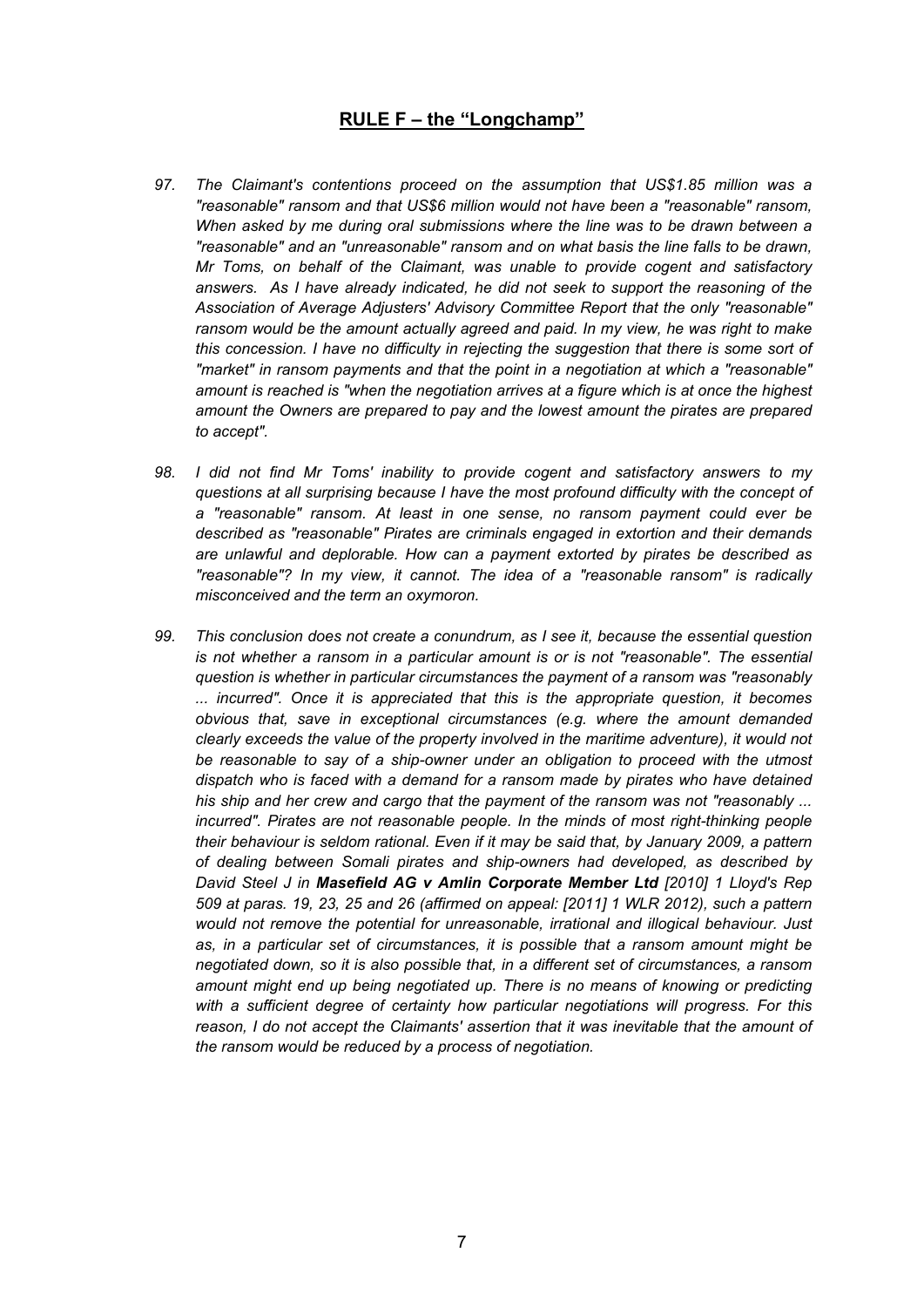- *97. The Claimant's contentions proceed on the assumption that US\$1.85 million was a "reasonable" ransom and that US\$6 million would not have been a "reasonable" ransom, When asked by me during oral submissions where the line was to be drawn between a "reasonable" and an "unreasonable" ransom and on what basis the line falls to be drawn, Mr Toms, on behalf of the Claimant, was unable to provide cogent and satisfactory answers. As I have already indicated, he did not seek to support the reasoning of the Association of Average Adjusters' Advisory Committee Report that the only "reasonable" ransom would be the amount actually agreed and paid. In my view, he was right to make this concession. I have no difficulty in rejecting the suggestion that there is some sort of "market" in ransom payments and that the point in a negotiation at which a "reasonable" amount is reached is "when the negotiation arrives at a figure which is at once the highest amount the Owners are prepared to pay and the lowest amount the pirates are prepared to accept".*
- *98. I did not find Mr Toms' inability to provide cogent and satisfactory answers to my questions at all surprising because I have the most profound difficulty with the concept of a "reasonable" ransom. At least in one sense, no ransom payment could ever be described as "reasonable" Pirates are criminals engaged in extortion and their demands are unlawful and deplorable. How can a payment extorted by pirates be described as "reasonable"? In my view, it cannot. The idea of a "reasonable ransom" is radically misconceived and the term an oxymoron.*
- *99. This conclusion does not create a conundrum, as I see it, because the essential question is not whether a ransom in a particular amount is or is not "reasonable". The essential question is whether in particular circumstances the payment of a ransom was "reasonably ... incurred". Once it is appreciated that this is the appropriate question, it becomes obvious that, save in exceptional circumstances (e.g. where the amount demanded clearly exceeds the value of the property involved in the maritime adventure), it would not be reasonable to say of a ship-owner under an obligation to proceed with the utmost dispatch who is faced with a demand for a ransom made by pirates who have detained his ship and her crew and cargo that the payment of the ransom was not "reasonably ... incurred". Pirates are not reasonable people. In the minds of most right-thinking people their behaviour is seldom rational. Even if it may be said that, by January 2009, a pattern of dealing between Somali pirates and ship-owners had developed, as described by David Steel J in Masefield AG v Amlin Corporate Member Ltd [2010] 1 Lloyd's Rep 509 at paras. 19, 23, 25 and 26 (affirmed on appeal: [2011] 1 WLR 2012), such a pattern would not remove the potential for unreasonable, irrational and illogical behaviour. Just as, in a particular set of circumstances, it is possible that a ransom amount might be negotiated down, so it is also possible that, in a different set of circumstances, a ransom amount might end up being negotiated up. There is no means of knowing or predicting with a sufficient degree of certainty how particular negotiations will progress. For this reason, I do not accept the Claimants' assertion that it was inevitable that the amount of the ransom would be reduced by a process of negotiation.*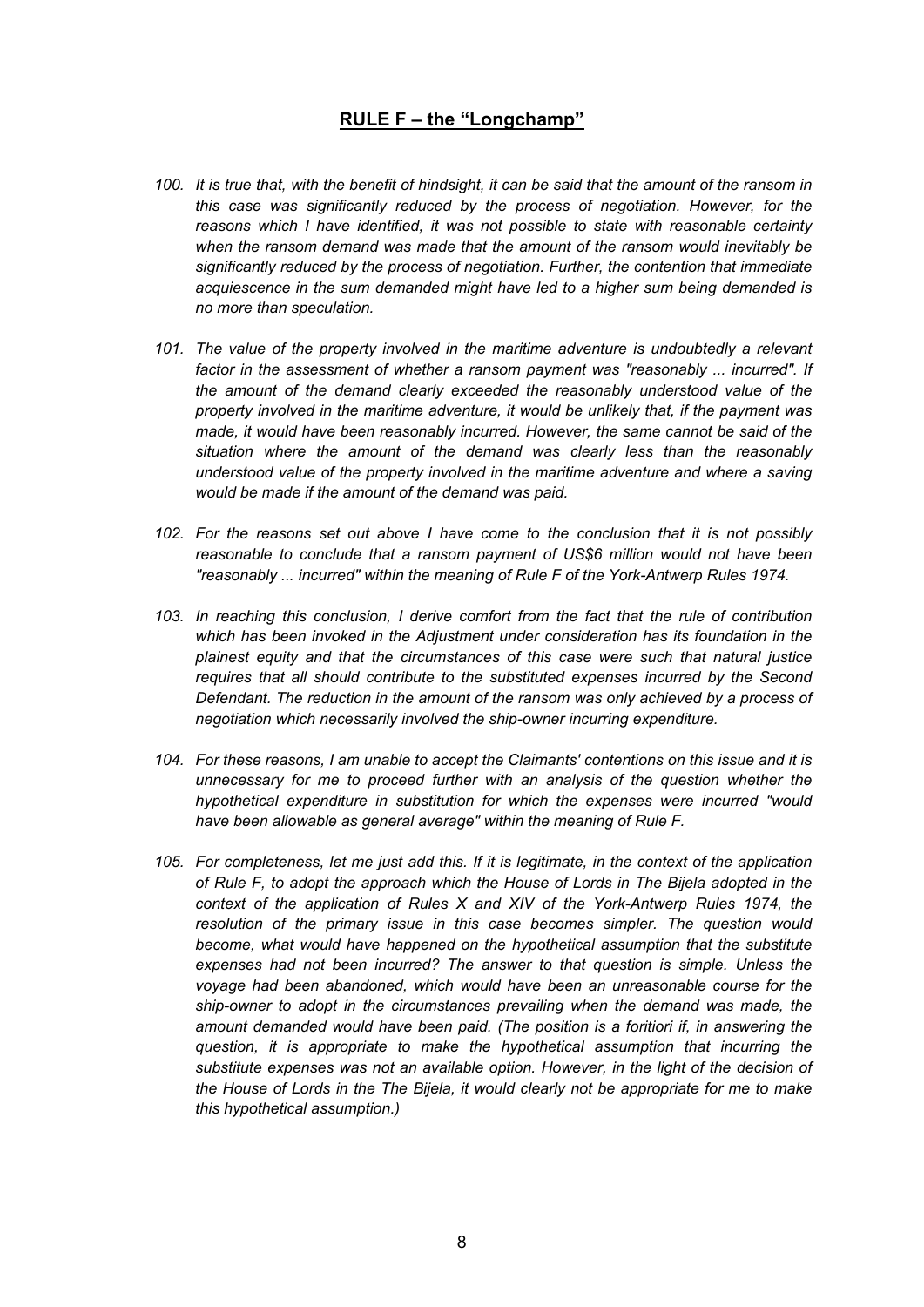- 100. It is true that, with the benefit of hindsight, it can be said that the amount of the ransom in *this case was significantly reduced by the process of negotiation. However, for the reasons which I have identified, it was not possible to state with reasonable certainty when the ransom demand was made that the amount of the ransom would inevitably be significantly reduced by the process of negotiation. Further, the contention that immediate acquiescence in the sum demanded might have led to a higher sum being demanded is no more than speculation.*
- *101. The value of the property involved in the maritime adventure is undoubtedly a relevant factor in the assessment of whether a ransom payment was "reasonably ... incurred". If the amount of the demand clearly exceeded the reasonably understood value of the property involved in the maritime adventure, it would be unlikely that, if the payment was made, it would have been reasonably incurred. However, the same cannot be said of the situation where the amount of the demand was clearly less than the reasonably understood value of the property involved in the maritime adventure and where a saving would be made if the amount of the demand was paid.*
- *102. For the reasons set out above I have come to the conclusion that it is not possibly reasonable to conclude that a ransom payment of US\$6 million would not have been "reasonably ... incurred" within the meaning of Rule F of the York-Antwerp Rules 1974.*
- *103. In reaching this conclusion, I derive comfort from the fact that the rule of contribution which has been invoked in the Adjustment under consideration has its foundation in the plainest equity and that the circumstances of this case were such that natural justice requires that all should contribute to the substituted expenses incurred by the Second Defendant. The reduction in the amount of the ransom was only achieved by a process of negotiation which necessarily involved the ship-owner incurring expenditure.*
- *104. For these reasons, I am unable to accept the Claimants' contentions on this issue and it is unnecessary for me to proceed further with an analysis of the question whether the hypothetical expenditure in substitution for which the expenses were incurred "would have been allowable as general average" within the meaning of Rule F.*
- 105. For completeness, let me just add this. If it is legitimate, in the context of the application *of Rule F, to adopt the approach which the House of Lords in The Bijela adopted in the context of the application of Rules X and XIV of the York-Antwerp Rules 1974, the resolution of the primary issue in this case becomes simpler. The question would become, what would have happened on the hypothetical assumption that the substitute expenses had not been incurred? The answer to that question is simple. Unless the voyage had been abandoned, which would have been an unreasonable course for the ship-owner to adopt in the circumstances prevailing when the demand was made, the amount demanded would have been paid. (The position is a foritiori if, in answering the question, it is appropriate to make the hypothetical assumption that incurring the substitute expenses was not an available option. However, in the light of the decision of the House of Lords in the The Bijela, it would clearly not be appropriate for me to make this hypothetical assumption.)*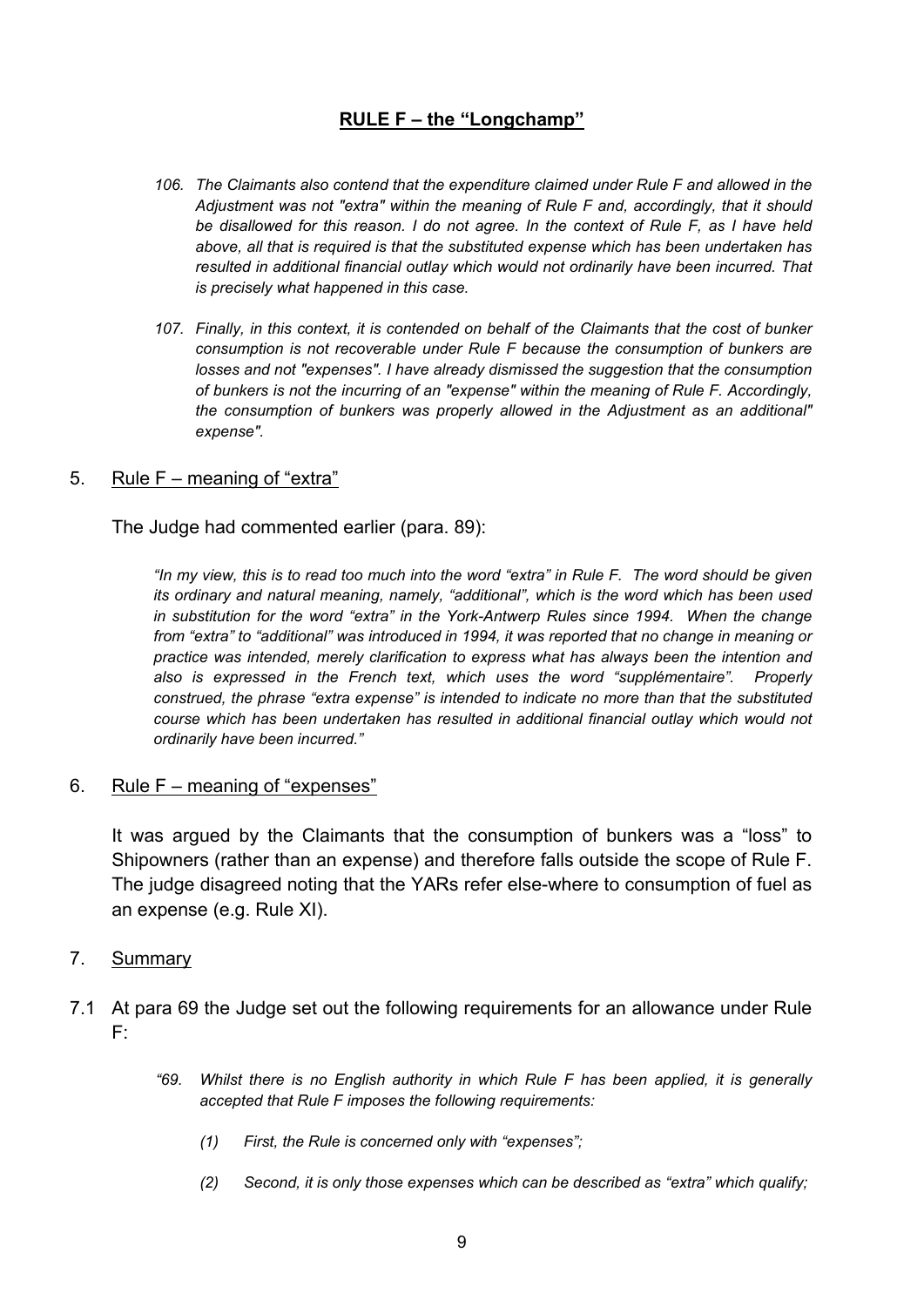- *106. The Claimants also contend that the expenditure claimed under Rule F and allowed in the Adjustment was not "extra" within the meaning of Rule F and, accordingly, that it should be disallowed for this reason. I do not agree. In the context of Rule F, as I have held above, all that is required is that the substituted expense which has been undertaken has resulted in additional financial outlay which would not ordinarily have been incurred. That is precisely what happened in this case.*
- *107. Finally, in this context, it is contended on behalf of the Claimants that the cost of bunker consumption is not recoverable under Rule F because the consumption of bunkers are losses and not "expenses". I have already dismissed the suggestion that the consumption of bunkers is not the incurring of an "expense" within the meaning of Rule F. Accordingly, the consumption of bunkers was properly allowed in the Adjustment as an additional" expense".*

#### 5. Rule F – meaning of "extra"

The Judge had commented earlier (para. 89):

"In my view, this is to read too much into the word "extra" in Rule F. The word should be given *its ordinary and natural meaning, namely, "additional", which is the word which has been used in substitution for the word "extra" in the York-Antwerp Rules since 1994. When the change from "extra" to "additional" was introduced in 1994, it was reported that no change in meaning or practice was intended, merely clarification to express what has always been the intention and also is expressed in the French text, which uses the word "supplémentaire". Properly construed, the phrase "extra expense" is intended to indicate no more than that the substituted course which has been undertaken has resulted in additional financial outlay which would not ordinarily have been incurred."*

6. Rule F – meaning of "expenses"

It was argued by the Claimants that the consumption of bunkers was a "loss" to Shipowners (rather than an expense) and therefore falls outside the scope of Rule F. The judge disagreed noting that the YARs refer else-where to consumption of fuel as an expense (e.g. Rule XI).

#### 7. Summary

- 7.1 At para 69 the Judge set out the following requirements for an allowance under Rule F:
	- *"69. Whilst there is no English authority in which Rule F has been applied, it is generally accepted that Rule F imposes the following requirements:*
		- *(1) First, the Rule is concerned only with "expenses";*
		- *(2) Second, it is only those expenses which can be described as "extra" which qualify;*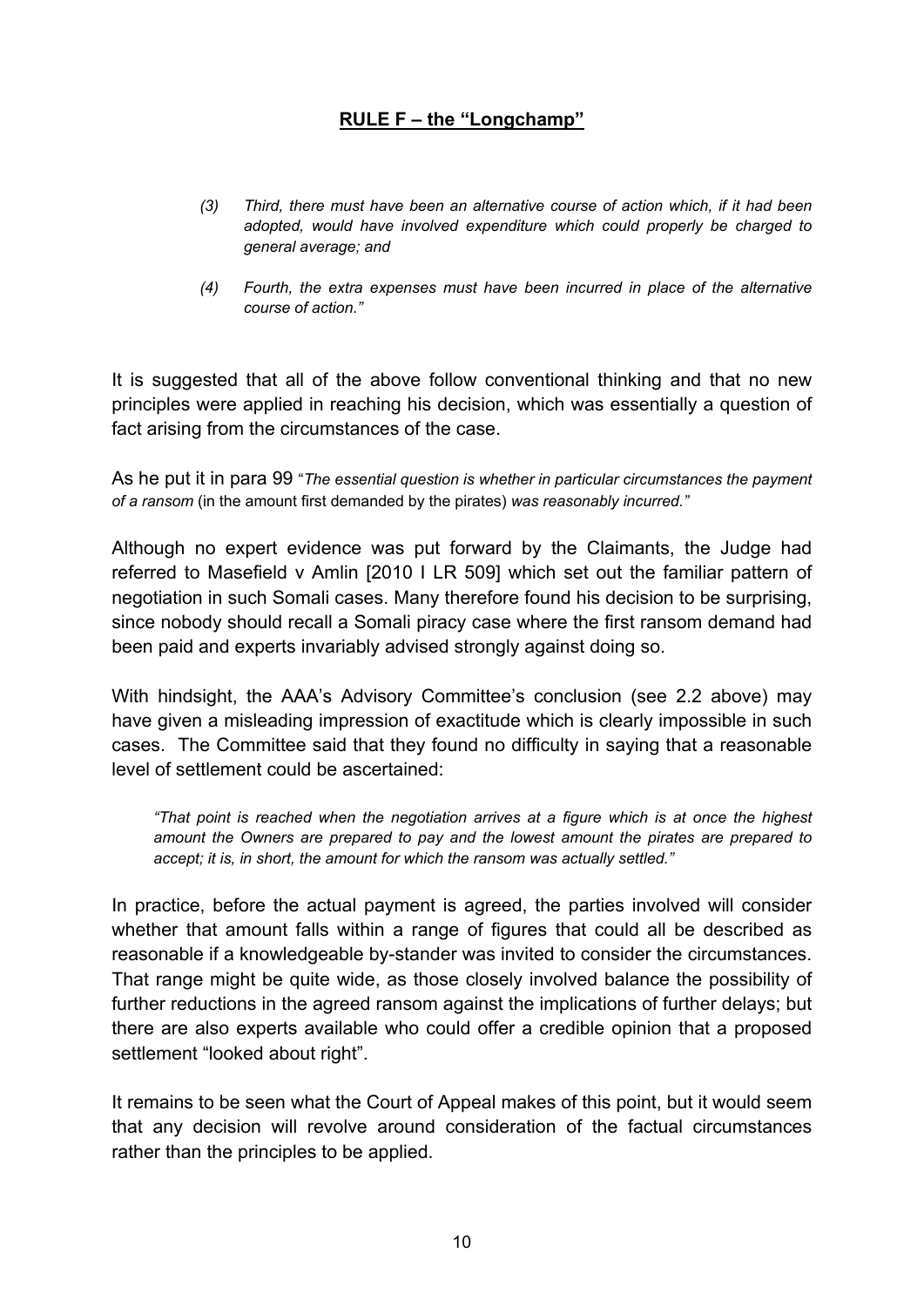- *(3) Third, there must have been an alternative course of action which, if it had been adopted, would have involved expenditure which could properly be charged to general average; and*
- *(4) Fourth, the extra expenses must have been incurred in place of the alternative course of action."*

It is suggested that all of the above follow conventional thinking and that no new principles were applied in reaching his decision, which was essentially a question of fact arising from the circumstances of the case.

As he put it in para 99 "*The essential question is whether in particular circumstances the payment of a ransom* (in the amount first demanded by the pirates) *was reasonably incurred."*

Although no expert evidence was put forward by the Claimants, the Judge had referred to Masefield v Amlin [2010 I LR 509] which set out the familiar pattern of negotiation in such Somali cases. Many therefore found his decision to be surprising, since nobody should recall a Somali piracy case where the first ransom demand had been paid and experts invariably advised strongly against doing so.

With hindsight, the AAA's Advisory Committee's conclusion (see 2.2 above) may have given a misleading impression of exactitude which is clearly impossible in such cases. The Committee said that they found no difficulty in saying that a reasonable level of settlement could be ascertained:

*"That point is reached when the negotiation arrives at a figure which is at once the highest amount the Owners are prepared to pay and the lowest amount the pirates are prepared to accept; it is, in short, the amount for which the ransom was actually settled."*

In practice, before the actual payment is agreed, the parties involved will consider whether that amount falls within a range of figures that could all be described as reasonable if a knowledgeable by-stander was invited to consider the circumstances. That range might be quite wide, as those closely involved balance the possibility of further reductions in the agreed ransom against the implications of further delays; but there are also experts available who could offer a credible opinion that a proposed settlement "looked about right".

It remains to be seen what the Court of Appeal makes of this point, but it would seem that any decision will revolve around consideration of the factual circumstances rather than the principles to be applied.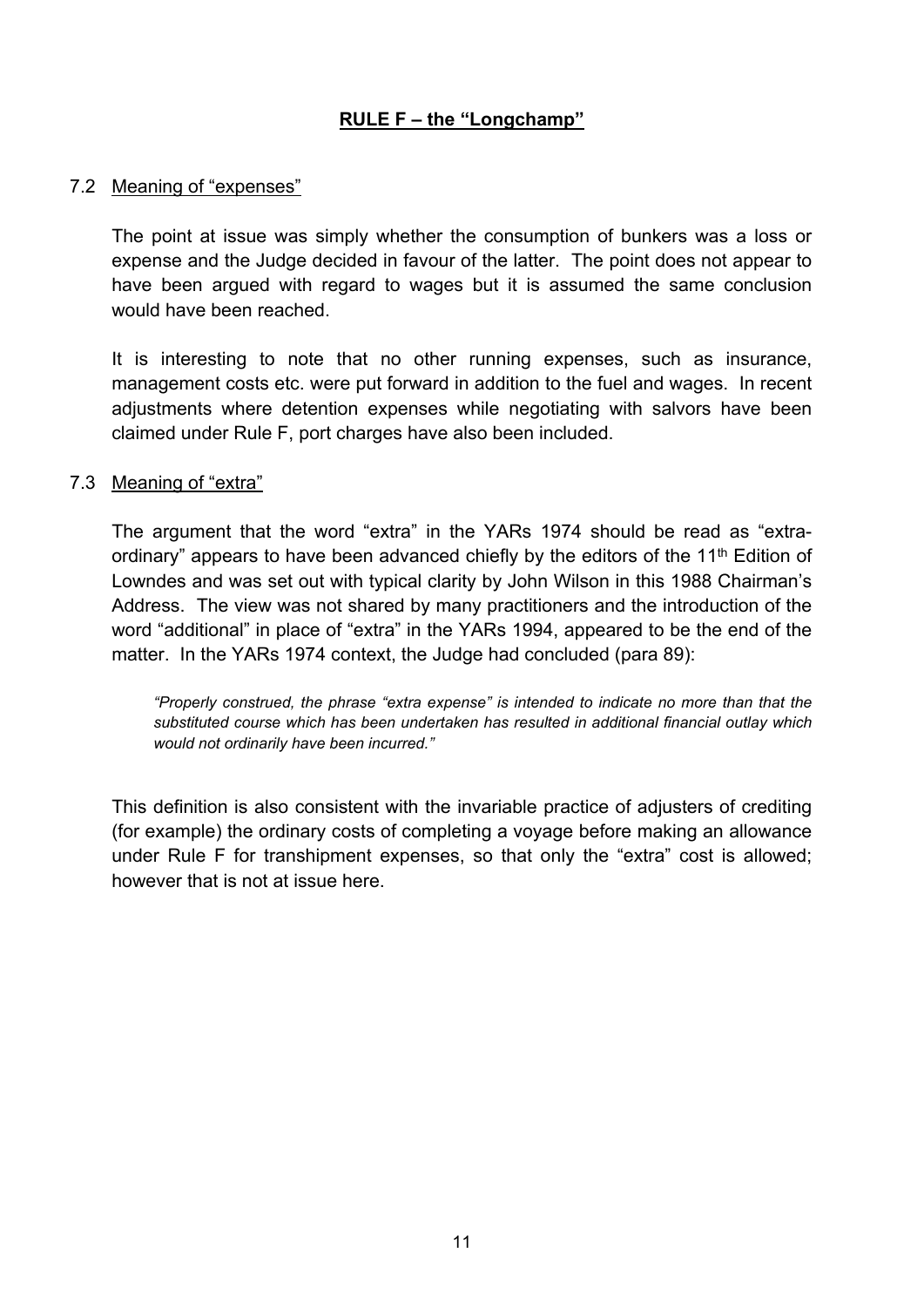### 7.2 Meaning of "expenses"

The point at issue was simply whether the consumption of bunkers was a loss or expense and the Judge decided in favour of the latter. The point does not appear to have been argued with regard to wages but it is assumed the same conclusion would have been reached.

It is interesting to note that no other running expenses, such as insurance, management costs etc. were put forward in addition to the fuel and wages. In recent adjustments where detention expenses while negotiating with salvors have been claimed under Rule F, port charges have also been included.

#### 7.3 Meaning of "extra"

The argument that the word "extra" in the YARs 1974 should be read as "extraordinary" appears to have been advanced chiefly by the editors of the 11<sup>th</sup> Edition of Lowndes and was set out with typical clarity by John Wilson in this 1988 Chairman's Address. The view was not shared by many practitioners and the introduction of the word "additional" in place of "extra" in the YARs 1994, appeared to be the end of the matter. In the YARs 1974 context, the Judge had concluded (para 89):

*"Properly construed, the phrase "extra expense" is intended to indicate no more than that the substituted course which has been undertaken has resulted in additional financial outlay which would not ordinarily have been incurred."*

This definition is also consistent with the invariable practice of adjusters of crediting (for example) the ordinary costs of completing a voyage before making an allowance under Rule F for transhipment expenses, so that only the "extra" cost is allowed; however that is not at issue here.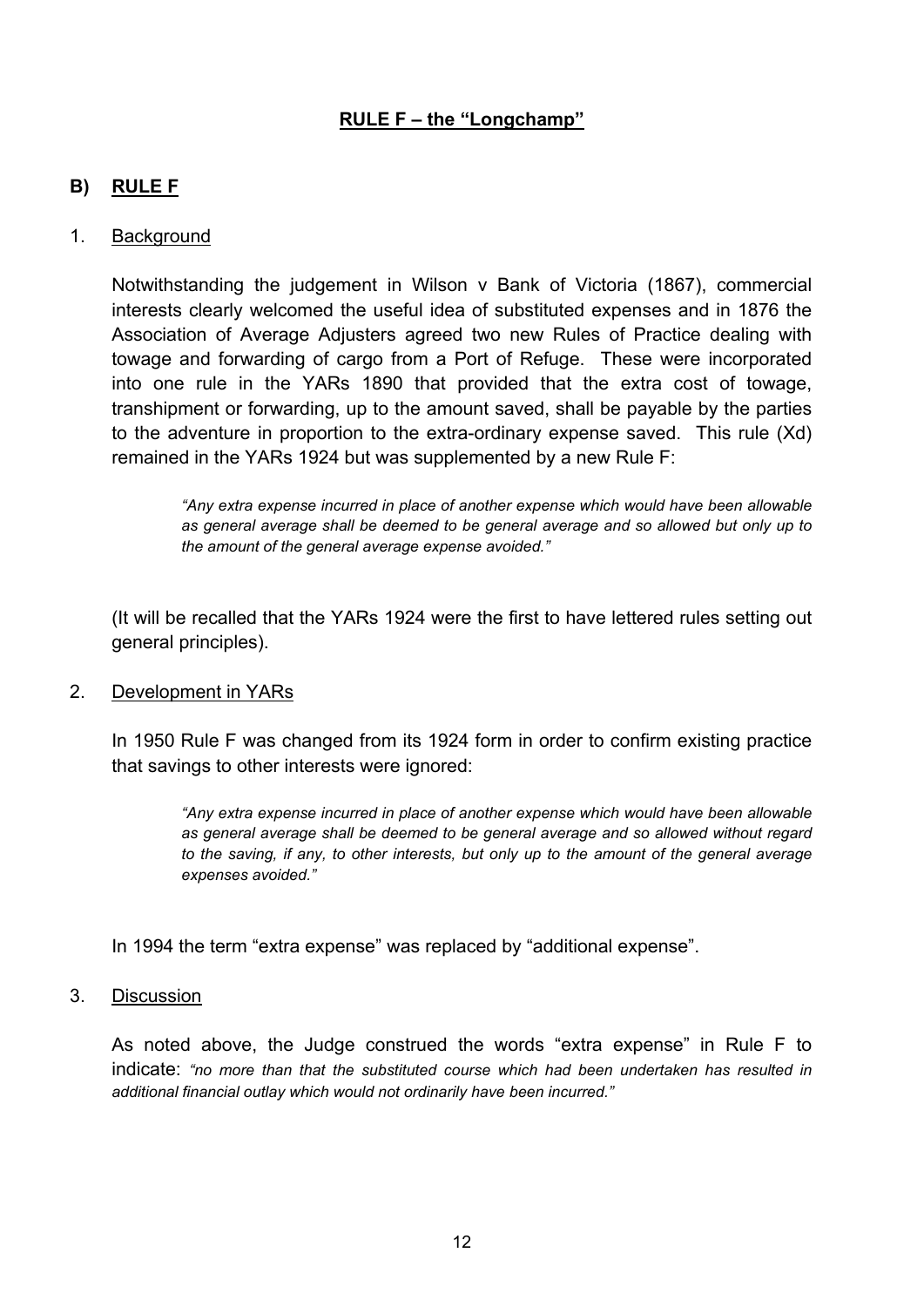### **B) RULE F**

#### 1. Background

Notwithstanding the judgement in Wilson v Bank of Victoria (1867), commercial interests clearly welcomed the useful idea of substituted expenses and in 1876 the Association of Average Adjusters agreed two new Rules of Practice dealing with towage and forwarding of cargo from a Port of Refuge. These were incorporated into one rule in the YARs 1890 that provided that the extra cost of towage, transhipment or forwarding, up to the amount saved, shall be payable by the parties to the adventure in proportion to the extra-ordinary expense saved. This rule (Xd) remained in the YARs 1924 but was supplemented by a new Rule F:

*"Any extra expense incurred in place of another expense which would have been allowable as general average shall be deemed to be general average and so allowed but only up to the amount of the general average expense avoided."*

(It will be recalled that the YARs 1924 were the first to have lettered rules setting out general principles).

#### 2. Development in YARs

In 1950 Rule F was changed from its 1924 form in order to confirm existing practice that savings to other interests were ignored:

> *"Any extra expense incurred in place of another expense which would have been allowable as general average shall be deemed to be general average and so allowed without regard to the saving, if any, to other interests, but only up to the amount of the general average expenses avoided."*

In 1994 the term "extra expense" was replaced by "additional expense".

#### 3. Discussion

As noted above, the Judge construed the words "extra expense" in Rule F to indicate: *"no more than that the substituted course which had been undertaken has resulted in additional financial outlay which would not ordinarily have been incurred."*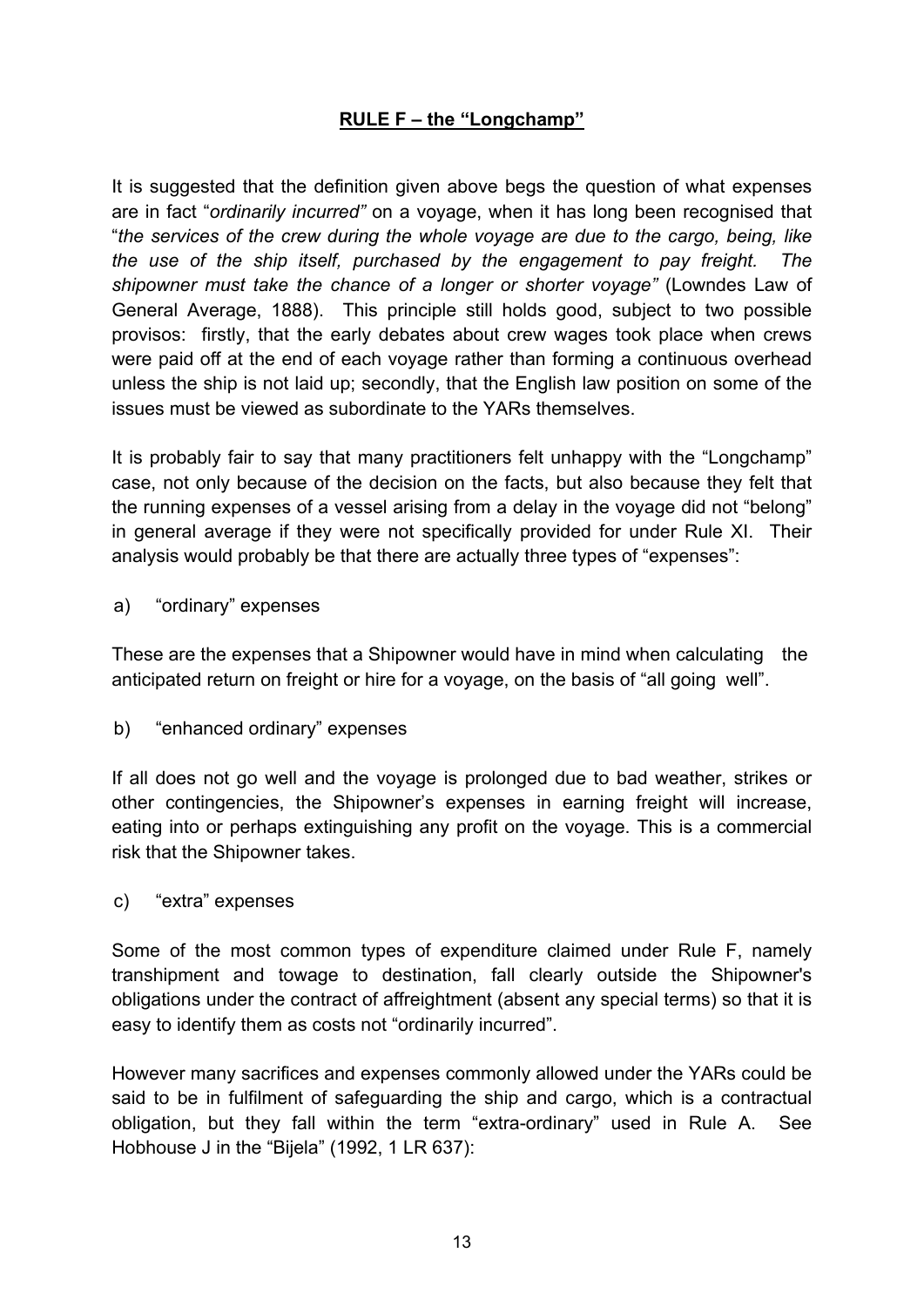It is suggested that the definition given above begs the question of what expenses are in fact "*ordinarily incurred"* on a voyage, when it has long been recognised that "*the services of the crew during the whole voyage are due to the cargo, being, like the use of the ship itself, purchased by the engagement to pay freight. The shipowner must take the chance of a longer or shorter voyage"* (Lowndes Law of General Average, 1888). This principle still holds good, subject to two possible provisos: firstly, that the early debates about crew wages took place when crews were paid off at the end of each voyage rather than forming a continuous overhead unless the ship is not laid up; secondly, that the English law position on some of the issues must be viewed as subordinate to the YARs themselves.

It is probably fair to say that many practitioners felt unhappy with the "Longchamp" case, not only because of the decision on the facts, but also because they felt that the running expenses of a vessel arising from a delay in the voyage did not "belong" in general average if they were not specifically provided for under Rule XI. Their analysis would probably be that there are actually three types of "expenses":

a) "ordinary" expenses

These are the expenses that a Shipowner would have in mind when calculating the anticipated return on freight or hire for a voyage, on the basis of "all going well".

b) "enhanced ordinary" expenses

If all does not go well and the voyage is prolonged due to bad weather, strikes or other contingencies, the Shipowner's expenses in earning freight will increase, eating into or perhaps extinguishing any profit on the voyage. This is a commercial risk that the Shipowner takes.

c) "extra" expenses

Some of the most common types of expenditure claimed under Rule F, namely transhipment and towage to destination, fall clearly outside the Shipowner's obligations under the contract of affreightment (absent any special terms) so that it is easy to identify them as costs not "ordinarily incurred".

However many sacrifices and expenses commonly allowed under the YARs could be said to be in fulfilment of safeguarding the ship and cargo, which is a contractual obligation, but they fall within the term "extra-ordinary" used in Rule A. See Hobhouse J in the "Bijela" (1992, 1 LR 637):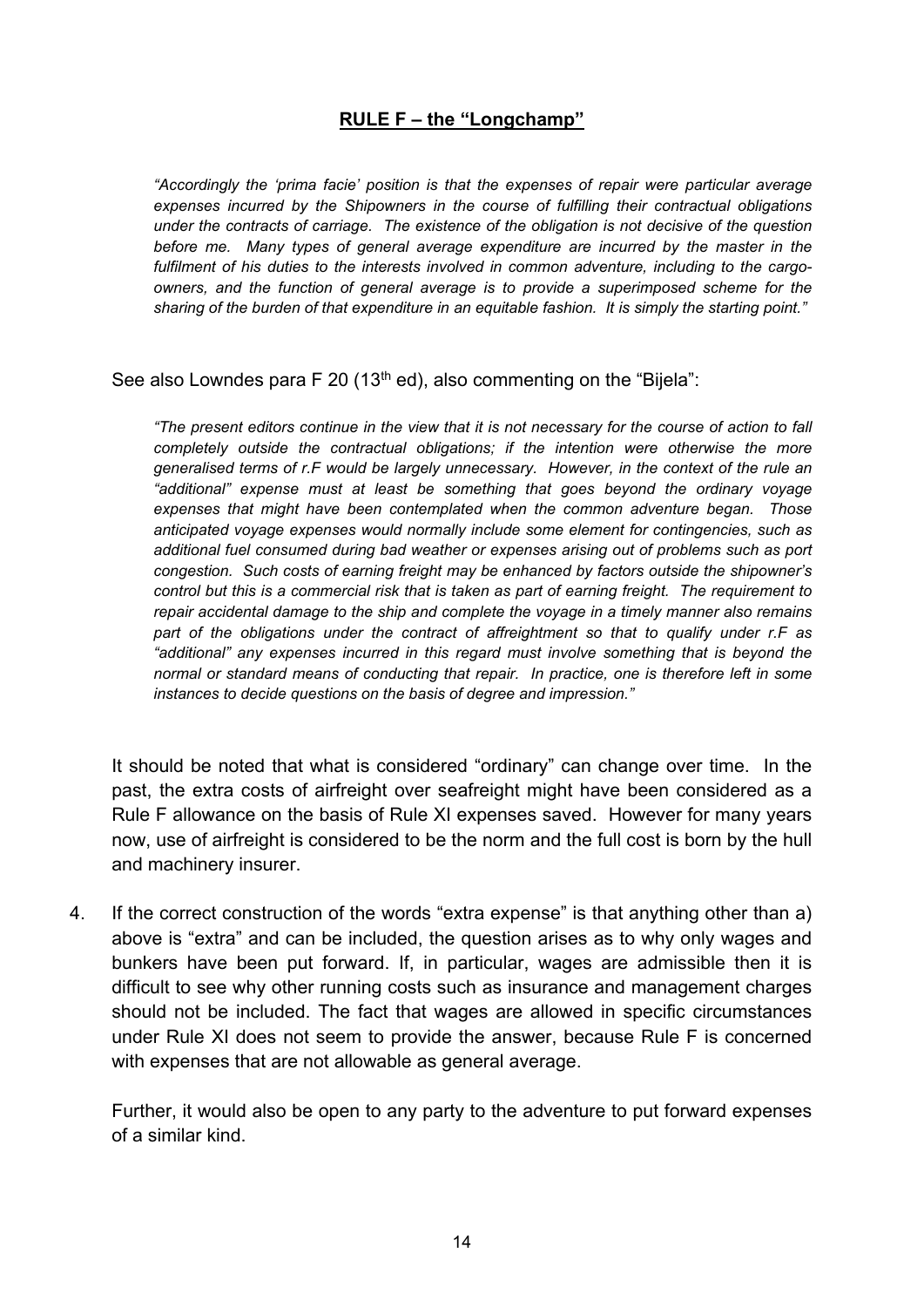*"Accordingly the 'prima facie' position is that the expenses of repair were particular average expenses incurred by the Shipowners in the course of fulfilling their contractual obligations under the contracts of carriage. The existence of the obligation is not decisive of the question before me. Many types of general average expenditure are incurred by the master in the fulfilment of his duties to the interests involved in common adventure, including to the cargoowners, and the function of general average is to provide a superimposed scheme for the sharing of the burden of that expenditure in an equitable fashion. It is simply the starting point."*

See also Lowndes para F 20 (13<sup>th</sup> ed), also commenting on the "Bijela":

"The present editors continue in the view that it is not necessary for the course of action to fall *completely outside the contractual obligations; if the intention were otherwise the more generalised terms of r.F would be largely unnecessary. However, in the context of the rule an "additional" expense must at least be something that goes beyond the ordinary voyage expenses that might have been contemplated when the common adventure began. Those anticipated voyage expenses would normally include some element for contingencies, such as additional fuel consumed during bad weather or expenses arising out of problems such as port congestion. Such costs of earning freight may be enhanced by factors outside the shipowner's control but this is a commercial risk that is taken as part of earning freight. The requirement to repair accidental damage to the ship and complete the voyage in a timely manner also remains part of the obligations under the contract of affreightment so that to qualify under r.F as "additional" any expenses incurred in this regard must involve something that is beyond the normal or standard means of conducting that repair. In practice, one is therefore left in some instances to decide questions on the basis of degree and impression."*

It should be noted that what is considered "ordinary" can change over time. In the past, the extra costs of airfreight over seafreight might have been considered as a Rule F allowance on the basis of Rule XI expenses saved. However for many years now, use of airfreight is considered to be the norm and the full cost is born by the hull and machinery insurer.

4. If the correct construction of the words "extra expense" is that anything other than a) above is "extra" and can be included, the question arises as to why only wages and bunkers have been put forward. If, in particular, wages are admissible then it is difficult to see why other running costs such as insurance and management charges should not be included. The fact that wages are allowed in specific circumstances under Rule XI does not seem to provide the answer, because Rule F is concerned with expenses that are not allowable as general average.

Further, it would also be open to any party to the adventure to put forward expenses of a similar kind.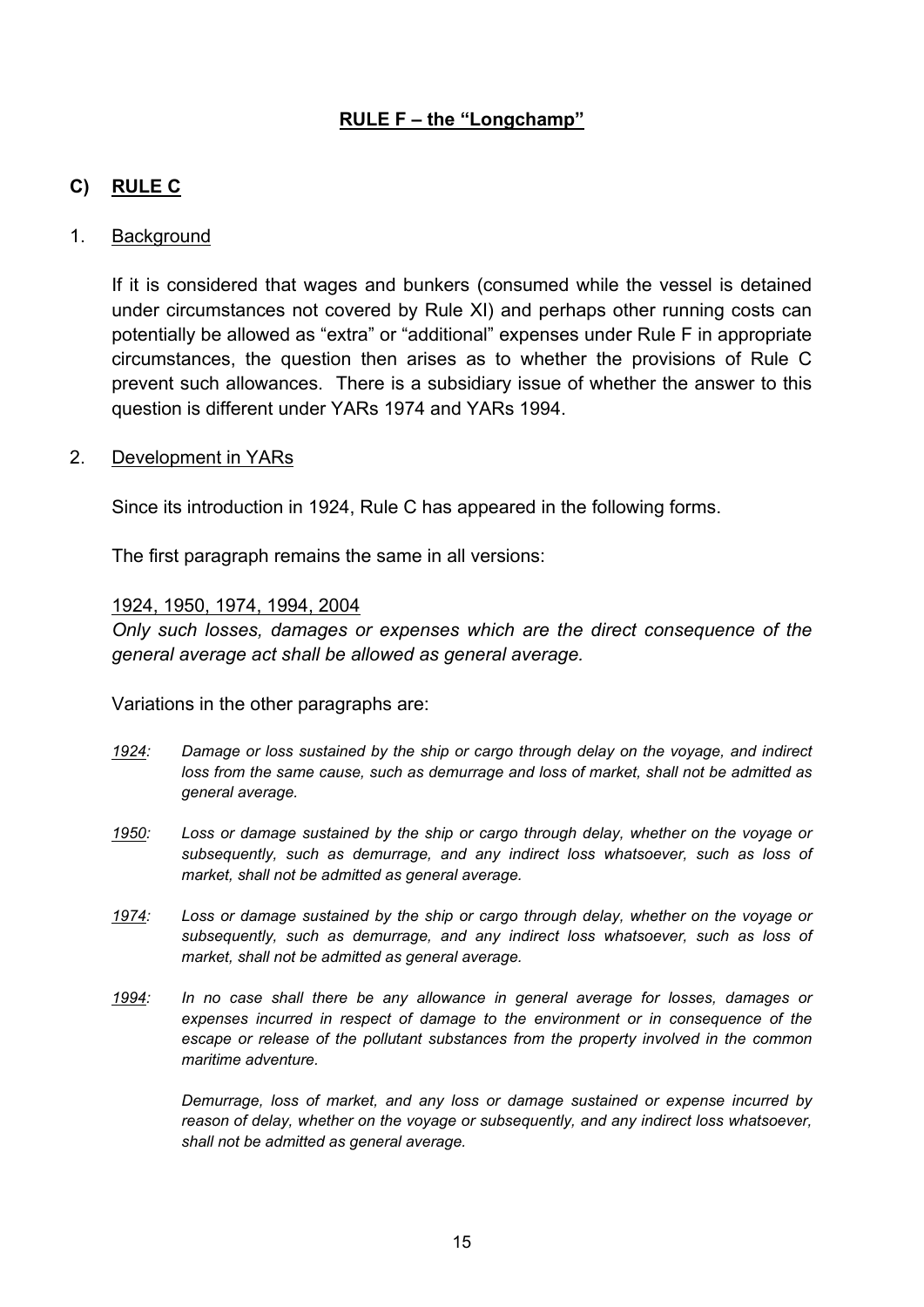### **C) RULE C**

#### 1. Background

If it is considered that wages and bunkers (consumed while the vessel is detained under circumstances not covered by Rule XI) and perhaps other running costs can potentially be allowed as "extra" or "additional" expenses under Rule F in appropriate circumstances, the question then arises as to whether the provisions of Rule C prevent such allowances. There is a subsidiary issue of whether the answer to this question is different under YARs 1974 and YARs 1994.

#### 2. Development in YARs

Since its introduction in 1924, Rule C has appeared in the following forms.

The first paragraph remains the same in all versions:

#### 1924, 1950, 1974, 1994, 2004

*Only such losses, damages or expenses which are the direct consequence of the general average act shall be allowed as general average.*

Variations in the other paragraphs are:

- *1924: Damage or loss sustained by the ship or cargo through delay on the voyage, and indirect loss from the same cause, such as demurrage and loss of market, shall not be admitted as general average.*
- *1950: Loss or damage sustained by the ship or cargo through delay, whether on the voyage or subsequently, such as demurrage, and any indirect loss whatsoever, such as loss of market, shall not be admitted as general average.*
- *1974: Loss or damage sustained by the ship or cargo through delay, whether on the voyage or subsequently, such as demurrage, and any indirect loss whatsoever, such as loss of market, shall not be admitted as general average.*
- *1994: In no case shall there be any allowance in general average for losses, damages or expenses incurred in respect of damage to the environment or in consequence of the escape or release of the pollutant substances from the property involved in the common maritime adventure.*

*Demurrage, loss of market, and any loss or damage sustained or expense incurred by reason of delay, whether on the voyage or subsequently, and any indirect loss whatsoever, shall not be admitted as general average.*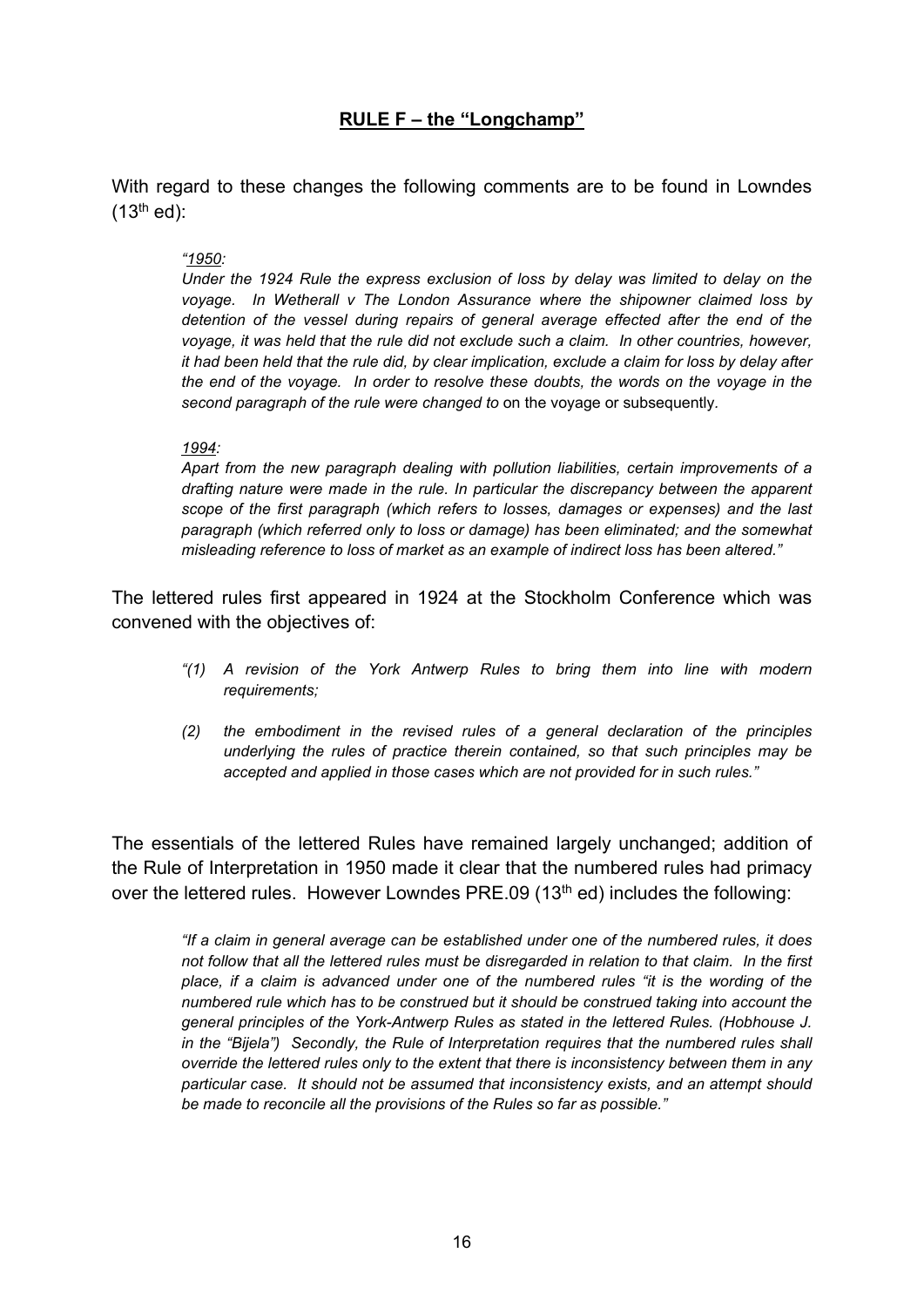With regard to these changes the following comments are to be found in Lowndes  $(13<sup>th</sup>$  ed):

#### *"1950:*

*Under the 1924 Rule the express exclusion of loss by delay was limited to delay on the voyage. In Wetherall v The London Assurance where the shipowner claimed loss by detention of the vessel during repairs of general average effected after the end of the voyage, it was held that the rule did not exclude such a claim. In other countries, however,* it had been held that the rule did, by clear implication, exclude a claim for loss by delay after *the end of the voyage. In order to resolve these doubts, the words on the voyage in the second paragraph of the rule were changed to* on the voyage or subsequently*.*

#### *1994:*

*Apart from the new paragraph dealing with pollution liabilities, certain improvements of a drafting nature were made in the rule. In particular the discrepancy between the apparent scope of the first paragraph (which refers to losses, damages or expenses) and the last paragraph (which referred only to loss or damage) has been eliminated; and the somewhat misleading reference to loss of market as an example of indirect loss has been altered."*

The lettered rules first appeared in 1924 at the Stockholm Conference which was convened with the objectives of:

- *"(1) A revision of the York Antwerp Rules to bring them into line with modern requirements;*
- *(2) the embodiment in the revised rules of a general declaration of the principles underlying the rules of practice therein contained, so that such principles may be accepted and applied in those cases which are not provided for in such rules."*

The essentials of the lettered Rules have remained largely unchanged; addition of the Rule of Interpretation in 1950 made it clear that the numbered rules had primacy over the lettered rules. However Lowndes PRE.09 (13<sup>th</sup> ed) includes the following:

*"If a claim in general average can be established under one of the numbered rules, it does not follow that all the lettered rules must be disregarded in relation to that claim. In the first place, if a claim is advanced under one of the numbered rules "it is the wording of the numbered rule which has to be construed but it should be construed taking into account the general principles of the York-Antwerp Rules as stated in the lettered Rules. (Hobhouse J. in the "Bijela") Secondly, the Rule of Interpretation requires that the numbered rules shall override the lettered rules only to the extent that there is inconsistency between them in any particular case. It should not be assumed that inconsistency exists, and an attempt should be made to reconcile all the provisions of the Rules so far as possible."*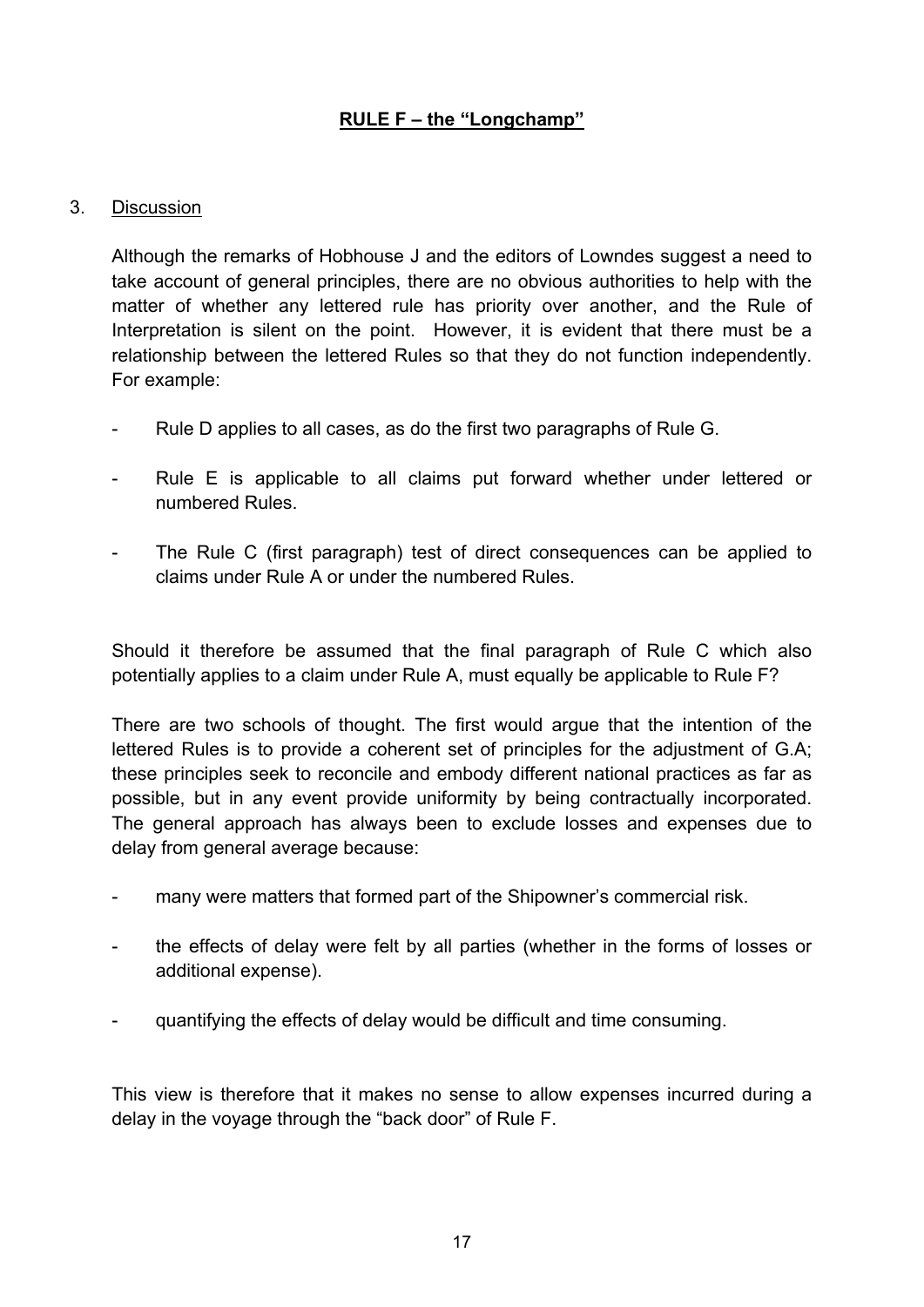### 3. Discussion

Although the remarks of Hobhouse J and the editors of Lowndes suggest a need to take account of general principles, there are no obvious authorities to help with the matter of whether any lettered rule has priority over another, and the Rule of Interpretation is silent on the point. However, it is evident that there must be a relationship between the lettered Rules so that they do not function independently. For example:

- Rule D applies to all cases, as do the first two paragraphs of Rule G.
- Rule E is applicable to all claims put forward whether under lettered or numbered Rules.
- The Rule C (first paragraph) test of direct consequences can be applied to claims under Rule A or under the numbered Rules.

Should it therefore be assumed that the final paragraph of Rule C which also potentially applies to a claim under Rule A, must equally be applicable to Rule F?

There are two schools of thought. The first would argue that the intention of the lettered Rules is to provide a coherent set of principles for the adjustment of G.A; these principles seek to reconcile and embody different national practices as far as possible, but in any event provide uniformity by being contractually incorporated. The general approach has always been to exclude losses and expenses due to delay from general average because:

- many were matters that formed part of the Shipowner's commercial risk.
- the effects of delay were felt by all parties (whether in the forms of losses or additional expense).
- quantifying the effects of delay would be difficult and time consuming.

This view is therefore that it makes no sense to allow expenses incurred during a delay in the voyage through the "back door" of Rule F.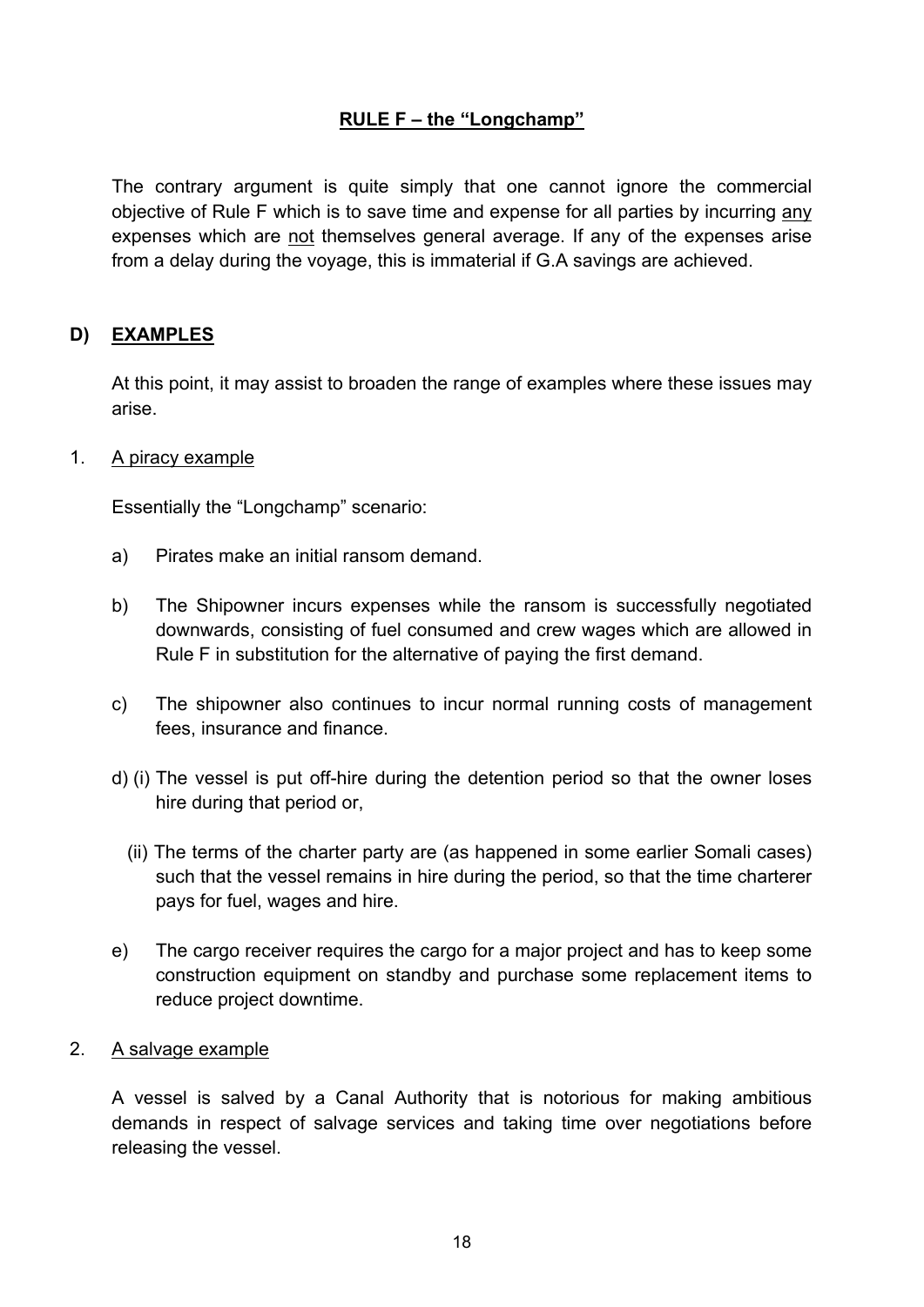The contrary argument is quite simply that one cannot ignore the commercial objective of Rule F which is to save time and expense for all parties by incurring any expenses which are not themselves general average. If any of the expenses arise from a delay during the voyage, this is immaterial if G.A savings are achieved.

### **D) EXAMPLES**

At this point, it may assist to broaden the range of examples where these issues may arise.

#### 1. A piracy example

Essentially the "Longchamp" scenario:

- a) Pirates make an initial ransom demand.
- b) The Shipowner incurs expenses while the ransom is successfully negotiated downwards, consisting of fuel consumed and crew wages which are allowed in Rule F in substitution for the alternative of paying the first demand.
- c) The shipowner also continues to incur normal running costs of management fees, insurance and finance.
- d) (i) The vessel is put off-hire during the detention period so that the owner loses hire during that period or,
	- (ii) The terms of the charter party are (as happened in some earlier Somali cases) such that the vessel remains in hire during the period, so that the time charterer pays for fuel, wages and hire.
- e) The cargo receiver requires the cargo for a major project and has to keep some construction equipment on standby and purchase some replacement items to reduce project downtime.

#### 2. A salvage example

A vessel is salved by a Canal Authority that is notorious for making ambitious demands in respect of salvage services and taking time over negotiations before releasing the vessel.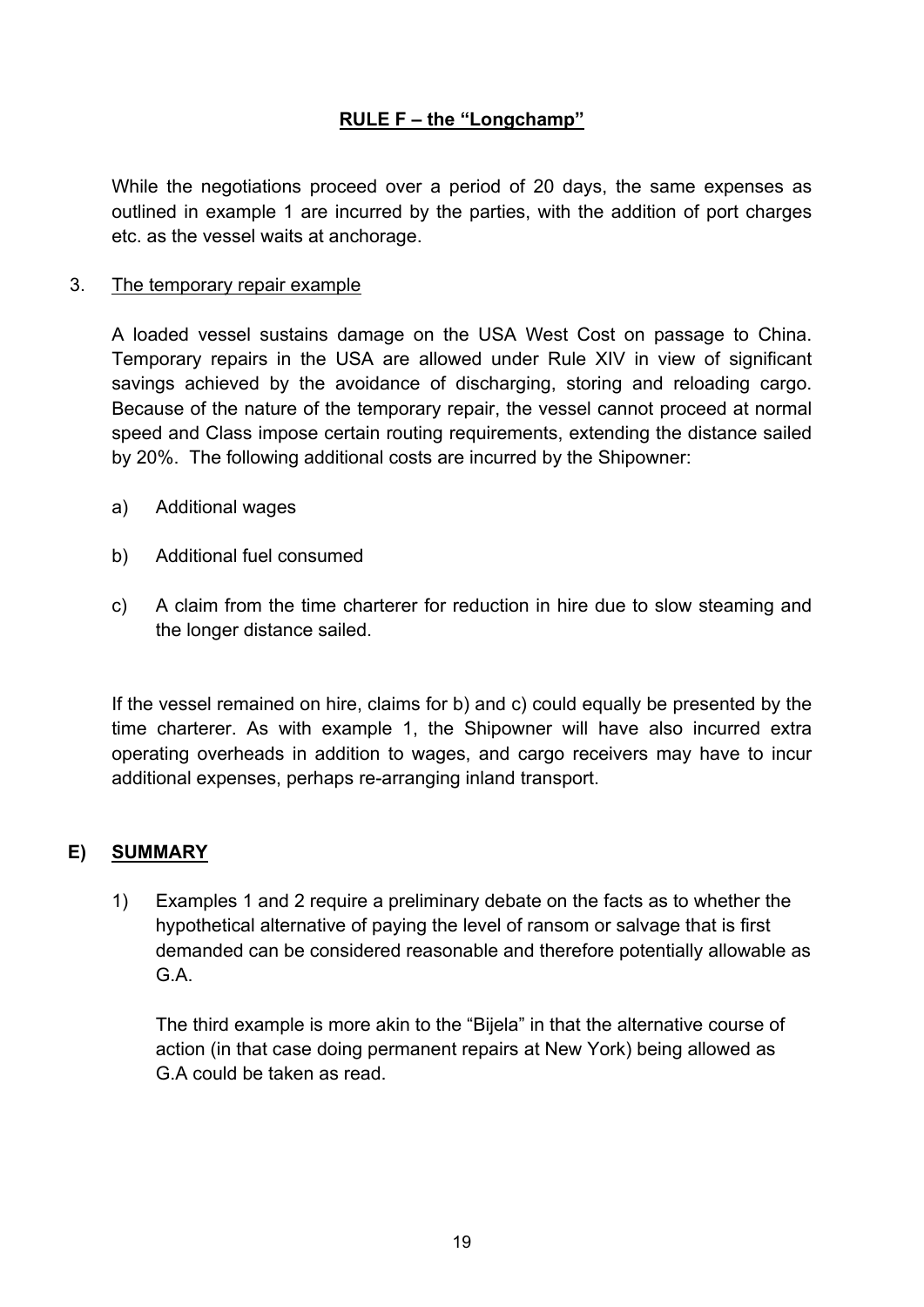While the negotiations proceed over a period of 20 days, the same expenses as outlined in example 1 are incurred by the parties, with the addition of port charges etc. as the vessel waits at anchorage.

### 3. The temporary repair example

A loaded vessel sustains damage on the USA West Cost on passage to China. Temporary repairs in the USA are allowed under Rule XIV in view of significant savings achieved by the avoidance of discharging, storing and reloading cargo. Because of the nature of the temporary repair, the vessel cannot proceed at normal speed and Class impose certain routing requirements, extending the distance sailed by 20%. The following additional costs are incurred by the Shipowner:

- a) Additional wages
- b) Additional fuel consumed
- c) A claim from the time charterer for reduction in hire due to slow steaming and the longer distance sailed.

If the vessel remained on hire, claims for b) and c) could equally be presented by the time charterer. As with example 1, the Shipowner will have also incurred extra operating overheads in addition to wages, and cargo receivers may have to incur additional expenses, perhaps re-arranging inland transport.

### **E) SUMMARY**

1) Examples 1 and 2 require a preliminary debate on the facts as to whether the hypothetical alternative of paying the level of ransom or salvage that is first demanded can be considered reasonable and therefore potentially allowable as G.A.

The third example is more akin to the "Bijela" in that the alternative course of action (in that case doing permanent repairs at New York) being allowed as G.A could be taken as read.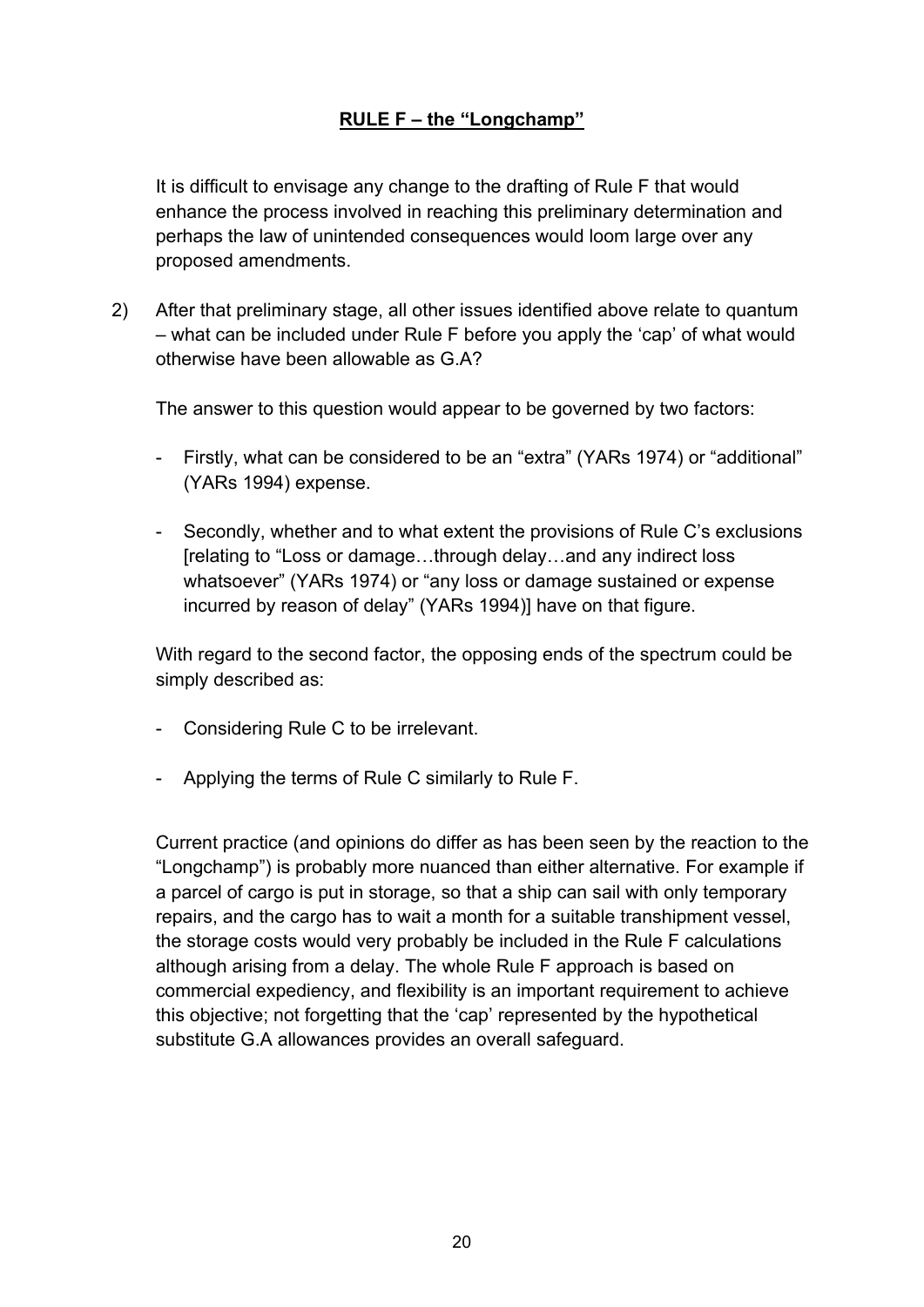It is difficult to envisage any change to the drafting of Rule F that would enhance the process involved in reaching this preliminary determination and perhaps the law of unintended consequences would loom large over any proposed amendments.

2) After that preliminary stage, all other issues identified above relate to quantum – what can be included under Rule F before you apply the 'cap' of what would otherwise have been allowable as G.A?

The answer to this question would appear to be governed by two factors:

- Firstly, what can be considered to be an "extra" (YARs 1974) or "additional" (YARs 1994) expense.
- Secondly, whether and to what extent the provisions of Rule C's exclusions [relating to "Loss or damage…through delay…and any indirect loss whatsoever" (YARs 1974) or "any loss or damage sustained or expense incurred by reason of delay" (YARs 1994)] have on that figure.

With regard to the second factor, the opposing ends of the spectrum could be simply described as:

- Considering Rule C to be irrelevant.
- Applying the terms of Rule C similarly to Rule F.

Current practice (and opinions do differ as has been seen by the reaction to the "Longchamp") is probably more nuanced than either alternative. For example if a parcel of cargo is put in storage, so that a ship can sail with only temporary repairs, and the cargo has to wait a month for a suitable transhipment vessel, the storage costs would very probably be included in the Rule F calculations although arising from a delay. The whole Rule F approach is based on commercial expediency, and flexibility is an important requirement to achieve this objective; not forgetting that the 'cap' represented by the hypothetical substitute G.A allowances provides an overall safeguard.